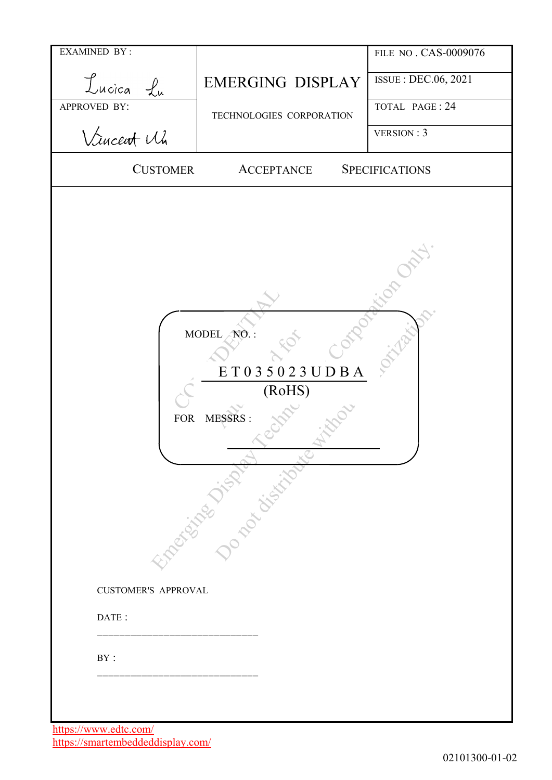| <b>EXAMINED BY:</b>                      |                                                                          | FILE NO. CAS-0009076  |
|------------------------------------------|--------------------------------------------------------------------------|-----------------------|
| Lucica Lu                                | <b>EMERGING DISPLAY</b>                                                  | ISSUE : DEC.06, 2021  |
| APPROVED BY:                             | TECHNOLOGIES CORPORATION                                                 | TOTAL PAGE: 24        |
| Vincent Wh                               |                                                                          | VERSION : 3           |
| <b>CUSTOMER</b>                          | <b>ACCEPTANCE</b>                                                        | <b>SPECIFICATIONS</b> |
| <b>FOR</b><br><b>CUSTOMER'S APPROVAL</b> | MODEL NO.:<br>ET035023UDBA<br>(RoHS)<br>MESSRS:<br>Engeland Justice City |                       |
| DATE:                                    |                                                                          |                       |
| BY:                                      |                                                                          |                       |
|                                          |                                                                          |                       |

https://www.edtc.com/ https://smartembeddeddisplay.com/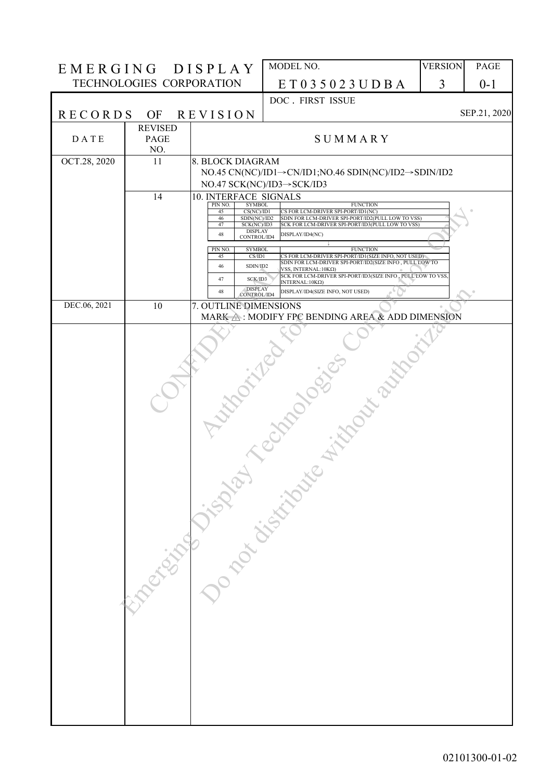| EMERGING DISPLAY |                          |                                                          | MODEL NO.                                                                                                       | <b>VERSION</b> | PAGE         |
|------------------|--------------------------|----------------------------------------------------------|-----------------------------------------------------------------------------------------------------------------|----------------|--------------|
|                  | TECHNOLOGIES CORPORATION |                                                          | ET035023UDBA                                                                                                    | 3              | $0 - 1$      |
|                  |                          |                                                          | DOC . FIRST ISSUE                                                                                               |                |              |
| <b>RECORDS</b>   | OF                       | <b>REVISION</b>                                          |                                                                                                                 |                | SEP.21, 2020 |
| DATE             | <b>REVISED</b><br>PAGE   |                                                          | SUMMARY                                                                                                         |                |              |
| OCT.28, 2020     | NO.<br>11                | 8. BLOCK DIAGRAM                                         |                                                                                                                 |                |              |
|                  |                          |                                                          | NO.45 CN(NC)/ID1→CN/ID1;NO.46 SDIN(NC)/ID2→SDIN/ID2                                                             |                |              |
|                  |                          |                                                          | NO.47 SCK(NC)/ID3→SCK/ID3                                                                                       |                |              |
|                  | 14                       | 10. INTERFACE SIGNALS<br>PIN NO.<br><b>SYMBOL</b>        | <b>FUNCTION</b>                                                                                                 |                |              |
|                  |                          | CS(NC)/ID1<br>45<br>SDIN(NC)/ID2<br>46                   | CS FOR LCM-DRIVER SPI-PORT/ID1(NC)<br>SDIN FOR LCM-DRIVER SPI-PORT/ID2(PULL LOW TO VSS)                         |                |              |
|                  |                          | 47<br>SCK(NC)/ID3<br><b>DISPLAY</b><br>48<br>CONTROL/ID4 | SCK FOR LCM-DRIVER SPI-PORT/ID3(PULL LOW TO VSS)<br>DISPLAY/ID4(NC)                                             |                |              |
|                  |                          | <b>SYMBOL</b><br>PIN NO.                                 | <b>FUNCTION</b>                                                                                                 |                |              |
|                  |                          | CS/ID1<br>45<br>SDIN/ID2<br>46                           | CS FOR LCM-DRIVER SPI-PORT/ID1(SIZE INFO, NOT USED)<br>SDIN FOR LCM-DRIVER SPI-PORT/ID2(SIZE INFO , PULL LOW TO |                |              |
|                  |                          | 47<br>SCK/ID3                                            | VSS, INTERNAL: $10K\Omega$ )<br>SCK FOR LCM-DRIVER SPI-PORT/ID3(SIZE INFO, PULL LOW TO VSS<br>INTERNAL: 10ΚΩ)   |                |              |
|                  |                          | <b>DISPLAY</b><br>48<br><b>CONTROL/ID4</b>               | DISPLAY/ID4(SIZE INFO, NOT USED)                                                                                |                |              |
| DEC.06, 2021     | 10                       | 7. OUTLINE DIMENSIONS                                    | MARK A: MODIFY FPC BENDING AREA & ADD DIMENSION                                                                 |                |              |
|                  |                          |                                                          |                                                                                                                 |                |              |
|                  |                          |                                                          |                                                                                                                 |                |              |
|                  |                          |                                                          |                                                                                                                 |                |              |
|                  |                          |                                                          | Hope in our out                                                                                                 |                |              |
|                  |                          |                                                          |                                                                                                                 |                |              |
|                  |                          |                                                          |                                                                                                                 |                |              |
|                  |                          |                                                          |                                                                                                                 |                |              |
|                  |                          |                                                          |                                                                                                                 |                |              |
|                  |                          |                                                          |                                                                                                                 |                |              |
|                  |                          |                                                          |                                                                                                                 |                |              |
|                  |                          |                                                          |                                                                                                                 |                |              |
|                  |                          |                                                          |                                                                                                                 |                |              |
|                  |                          |                                                          |                                                                                                                 |                |              |
|                  |                          |                                                          |                                                                                                                 |                |              |
|                  |                          |                                                          |                                                                                                                 |                |              |
|                  |                          |                                                          |                                                                                                                 |                |              |
|                  |                          |                                                          |                                                                                                                 |                |              |
|                  |                          |                                                          |                                                                                                                 |                |              |
|                  |                          |                                                          |                                                                                                                 |                |              |
|                  |                          |                                                          |                                                                                                                 |                |              |
|                  |                          |                                                          |                                                                                                                 |                |              |
|                  |                          |                                                          |                                                                                                                 |                |              |
|                  |                          |                                                          |                                                                                                                 |                |              |
|                  |                          |                                                          | Raccionation of the control of                                                                                  |                |              |
|                  |                          |                                                          |                                                                                                                 |                |              |
|                  |                          |                                                          |                                                                                                                 |                |              |
|                  |                          |                                                          |                                                                                                                 |                |              |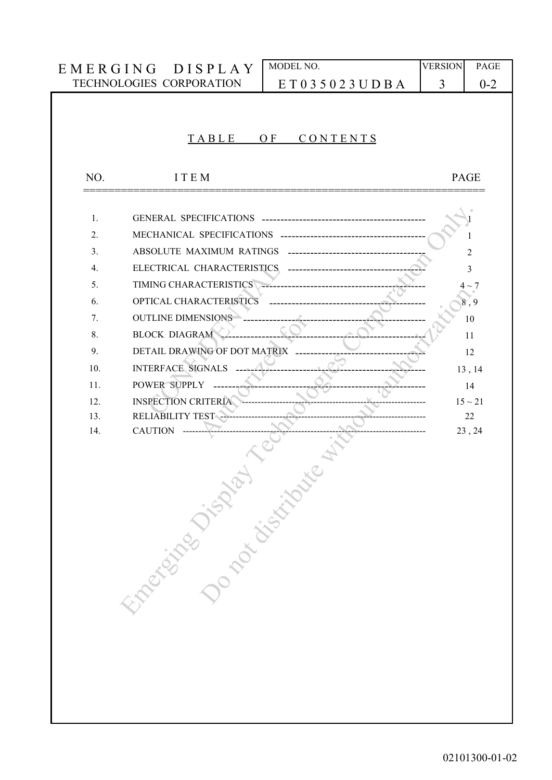|     | EMERGING DISPLAY                                       | MODEL NO.                  | <b>VERSION</b> | PAGE         |
|-----|--------------------------------------------------------|----------------------------|----------------|--------------|
|     | TECHNOLOGIES CORPORATION                               | ET035023UDBA               | 3              | $0 - 2$      |
|     |                                                        |                            |                |              |
|     |                                                        |                            |                |              |
|     | TABLE                                                  | CONTENTS<br>O <sub>F</sub> |                |              |
|     |                                                        |                            |                |              |
| NO. | <b>ITEM</b>                                            |                            |                | <b>PAGE</b>  |
| 1.  | GENERAL SPECIFICATIONS ------------------------------- |                            |                |              |
| 2.  | MECHANICAL SPECIFICATIONS -------------------          |                            |                |              |
| 3.  | ABSOLUTE MAXIMUM RATINGS                               |                            |                | 2            |
| 4.  | ELECTRICAL CHARACTERISTICS.                            |                            |                | 3            |
| 5.  | TIMING CHARACTERISTICS                                 |                            |                | $\sim$ 7     |
| 6.  | OPTICAL CHARACTERISTICS                                |                            |                | 8, 9         |
| 7.  | <b>OUTLINE DIMENSIONS</b>                              |                            |                | 10           |
| 8.  | <b>BLOCK DIAGRAM</b>                                   |                            |                | 11           |
| 9.  | DETAIL DRAWING OF DOT MATRIX                           |                            |                | 12           |
| 10. | <b>INTERFACE SIGNALS</b>                               |                            |                | 13, 14       |
| 11. | POWER SUPPLY                                           |                            |                | 14           |
| 12. | <b>INSPECTION CRITERIA</b>                             |                            |                | $15 \sim 21$ |
| 13. | RELIABILITY TEST -                                     |                            |                | 22           |
| 14. |                                                        |                            |                | 23, 24       |
|     |                                                        |                            |                |              |
|     | Engeland of the Contract of                            |                            |                |              |
|     |                                                        |                            |                |              |
|     |                                                        |                            |                |              |
|     |                                                        |                            |                |              |
|     |                                                        |                            |                |              |
|     |                                                        |                            |                |              |
|     |                                                        |                            |                |              |
|     |                                                        |                            |                |              |
|     |                                                        |                            |                |              |
|     |                                                        |                            |                |              |
|     |                                                        |                            |                |              |
|     |                                                        |                            |                |              |
|     |                                                        |                            |                |              |
|     |                                                        |                            |                |              |
|     |                                                        |                            |                |              |
|     |                                                        |                            |                |              |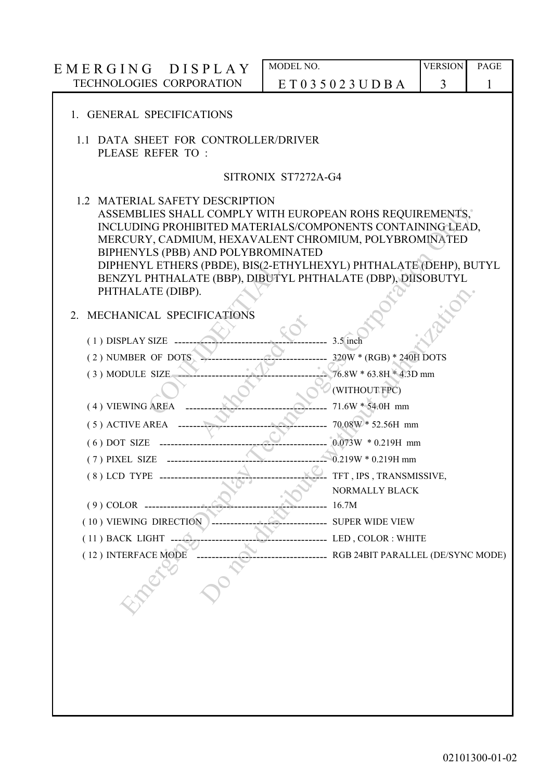| EMERGING DISPLAY                                                                                                                                                                                                                                                                                                                                                                                                   | MODEL NO.                         | <b>VERSION</b> | <b>PAGE</b> |
|--------------------------------------------------------------------------------------------------------------------------------------------------------------------------------------------------------------------------------------------------------------------------------------------------------------------------------------------------------------------------------------------------------------------|-----------------------------------|----------------|-------------|
| TECHNOLOGIES CORPORATION                                                                                                                                                                                                                                                                                                                                                                                           | ET035023UDBA                      | 3              | 1           |
|                                                                                                                                                                                                                                                                                                                                                                                                                    |                                   |                |             |
| 1. GENERAL SPECIFICATIONS                                                                                                                                                                                                                                                                                                                                                                                          |                                   |                |             |
| 1.1 DATA SHEET FOR CONTROLLER/DRIVER<br>PLEASE REFER TO:                                                                                                                                                                                                                                                                                                                                                           |                                   |                |             |
|                                                                                                                                                                                                                                                                                                                                                                                                                    | SITRONIX ST7272A-G4               |                |             |
| 1.2 MATERIAL SAFETY DESCRIPTION<br>ASSEMBLIES SHALL COMPLY WITH EUROPEAN ROHS REQUIREMENTS,"<br>INCLUDING PROHIBITED MATERIALS/COMPONENTS CONTAINING LEAD,<br>MERCURY, CADMIUM, HEXAVALENT CHROMIUM, POLYBROMINATED<br>BIPHENYLS (PBB) AND POLYBROMINATED<br>DIPHENYL ETHERS (PBDE), BIS(2-ETHYLHEXYL) PHTHALATE (DEHP), BUTYL<br>BENZYL PHTHALATE (BBP), DIBUTYL PHTHALATE (DBP), DIISOBUTYL<br>PHTHALATE (DIBP). |                                   |                |             |
| MECHANICAL SPECIFICATIONS<br>2.                                                                                                                                                                                                                                                                                                                                                                                    |                                   |                |             |
| $(1)$ DISPLAY SIZE ----                                                                                                                                                                                                                                                                                                                                                                                            | 3.5 inch                          |                |             |
| (2) NUMBER OF DOTS                                                                                                                                                                                                                                                                                                                                                                                                 | 320W * (RGB) * 240H DOTS          |                |             |
| (3) MODULE SIZE                                                                                                                                                                                                                                                                                                                                                                                                    | $-76.8W * 63.8H * 4.3D$ mm        |                |             |
|                                                                                                                                                                                                                                                                                                                                                                                                                    | (WITHOUT FPC)                     |                |             |
| (4) VIEWING AREA                                                                                                                                                                                                                                                                                                                                                                                                   | 71.6W * 54.0H mm                  |                |             |
| (5) ACTIVE AREA                                                                                                                                                                                                                                                                                                                                                                                                    | 70.08W * 52.56H mm                |                |             |
| $(6)$ DOT SIZE                                                                                                                                                                                                                                                                                                                                                                                                     | $0.073W * 0.219H$ mm              |                |             |
| (7) PIXEL SIZE                                                                                                                                                                                                                                                                                                                                                                                                     | $-0.219W * 0.219H$ mm             |                |             |
| $(8)$ LCD TYPE $-$                                                                                                                                                                                                                                                                                                                                                                                                 | TFT, IPS, TRANSMISSIVE,           |                |             |
|                                                                                                                                                                                                                                                                                                                                                                                                                    | NORMALLY BLACK                    |                |             |
| $(9)$ COLOR ------                                                                                                                                                                                                                                                                                                                                                                                                 | 16.7M                             |                |             |
| (10) VIEWING DIRECTION                                                                                                                                                                                                                                                                                                                                                                                             | <b>SUPER WIDE VIEW</b>            |                |             |
| (11) BACK LIGHT                                                                                                                                                                                                                                                                                                                                                                                                    | LED, COLOR: WHITE                 |                |             |
| (12) INTERFACE MODE                                                                                                                                                                                                                                                                                                                                                                                                | RGB 24BIT PARALLEL (DE/SYNC MODE) |                |             |
|                                                                                                                                                                                                                                                                                                                                                                                                                    |                                   |                |             |
|                                                                                                                                                                                                                                                                                                                                                                                                                    |                                   |                |             |
|                                                                                                                                                                                                                                                                                                                                                                                                                    |                                   |                |             |
|                                                                                                                                                                                                                                                                                                                                                                                                                    |                                   |                |             |
|                                                                                                                                                                                                                                                                                                                                                                                                                    |                                   |                |             |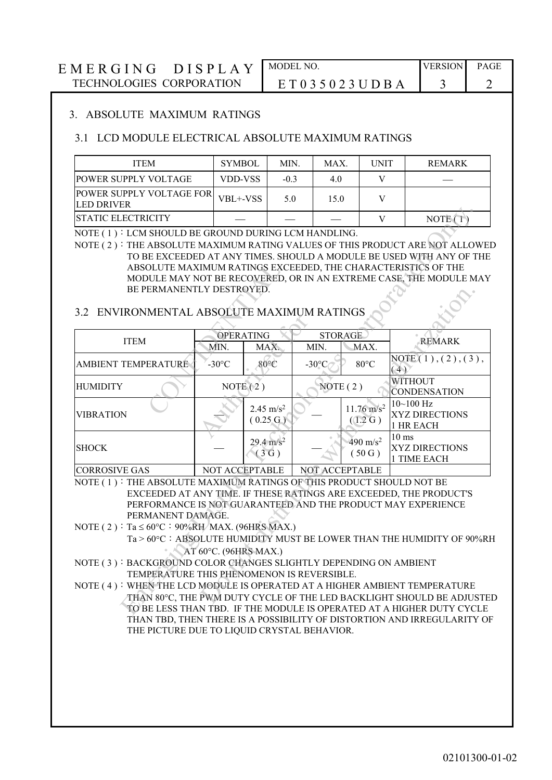#### 3. ABSOLUTE MAXIMUM RATINGS

#### 3.1 LCD MODULE ELECTRICAL ABSOLUTE MAXIMUM RATINGS

| <b>ITEM</b>                                          | <b>SYMBOL</b> | MIN.   | MAX. | <b>UNIT</b> | <b>REMARK</b> |
|------------------------------------------------------|---------------|--------|------|-------------|---------------|
| <b>POWER SUPPLY VOLTAGE</b>                          | VDD-VSS       | $-0.3$ | 4.0  |             |               |
| <b>POWER SUPPLY VOLTAGE FOR</b><br><b>LED DRIVER</b> | VBL+-VSS      | 5.0    | 15.0 |             |               |
| <b>ISTATIC ELECTRICITY</b>                           |               |        |      |             | <b>NOTE</b>   |

#### NOTE (1) : LCM SHOULD BE GROUND DURING LCM HANDLING.

#### 3.2 ENVIRONMENTAL ABSOLUTE MAXIMUM RATINGS

| <b>STATIC ELECTRICITY</b>                                                   |                       |                      |      |                 |                | V                     | NOTE $(1)$                                                            |
|-----------------------------------------------------------------------------|-----------------------|----------------------|------|-----------------|----------------|-----------------------|-----------------------------------------------------------------------|
| NOTE (1) : LCM SHOULD BE GROUND DURING LCM HANDLING.                        |                       |                      |      |                 |                |                       |                                                                       |
| NOTE (2): THE ABSOLUTE MAXIMUM RATING VALUES OF THIS PRODUCT ARE NOT ALLOWE |                       |                      |      |                 |                |                       |                                                                       |
|                                                                             |                       |                      |      |                 |                |                       | TO BE EXCEEDED AT ANY TIMES. SHOULD A MODULE BE USED WITH ANY OF THE  |
|                                                                             |                       |                      |      |                 |                |                       | ABSOLUTE MAXIMUM RATINGS EXCEEDED, THE CHARACTERISTICS OF THE         |
|                                                                             |                       |                      |      |                 |                |                       | MODULE MAY NOT BE RECOVERED, OR IN AN EXTREME CASE, THE MODULE MAY    |
| BE PERMANENTLY DESTROYED.                                                   |                       |                      |      |                 |                |                       |                                                                       |
|                                                                             |                       |                      |      |                 |                |                       |                                                                       |
| 3.2 ENVIRONMENTAL ABSOLUTE MAXIMUM RATINGS                                  |                       |                      |      |                 |                |                       |                                                                       |
|                                                                             |                       | OPERATING            |      |                 | <b>STORAGE</b> |                       |                                                                       |
| <b>ITEM</b>                                                                 | MIN.                  |                      | MAX. | MIN.            |                | MAX.                  | <b>REMARK</b>                                                         |
|                                                                             |                       |                      |      |                 |                |                       | NOTE(1), (2), (3),                                                    |
| <b>AMBIENT TEMPERATURE</b>                                                  | $-30^{\circ}$ C       | $80^{\circ}$ C       |      | $-30^{\circ}$ C |                | $80^{\circ}$ C        | (4)                                                                   |
| <b>HUMIDITY</b>                                                             |                       | NOTE $(2)$           |      | NOTE $(2)$      |                |                       | <b>WITHOUT</b>                                                        |
|                                                                             |                       |                      |      |                 |                |                       | <b>CONDENSATION</b>                                                   |
|                                                                             |                       | $2.45 \text{ m/s}^2$ |      |                 |                | $11.76 \text{ m/s}^2$ | $10 - 100$ Hz                                                         |
| <b>VIBRATION</b>                                                            |                       | $(0.25 \text{ G})$   |      |                 |                | (1.2 G)               | <b>XYZ DIRECTIONS</b>                                                 |
|                                                                             |                       |                      |      |                 |                |                       | 1 HR EACH<br>$10 \text{ ms}$                                          |
| <b>SHOCK</b>                                                                |                       | $29.4 \text{ m/s}^2$ |      |                 |                | 490 m/s <sup>2</sup>  | XYZ DIRECTIONS                                                        |
|                                                                             |                       | (3G)                 |      |                 |                | (50G)                 | 1 TIME EACH                                                           |
| <b>CORROSIVE GAS</b>                                                        | NOT ACCEPTABLE        |                      |      | NOT ACCEPTABLE  |                |                       |                                                                       |
| NOTE (1): THE ABSOLUTE MAXIMUM RATINGS OF THIS PRODUCT SHOULD NOT BE        |                       |                      |      |                 |                |                       |                                                                       |
|                                                                             |                       |                      |      |                 |                |                       | EXCEEDED AT ANY TIME. IF THESE RATINGS ARE EXCEEDED, THE PRODUCT'S    |
|                                                                             |                       |                      |      |                 |                |                       | PERFORMANCE IS NOT GUARANTEED AND THE PRODUCT MAY EXPERIENCE          |
| PERMANENT DAMAGE.                                                           |                       |                      |      |                 |                |                       |                                                                       |
| NOTE (2): Ta $\leq 60^{\circ}$ C: 90%RH MAX. (96HRS MAX.)                   |                       |                      |      |                 |                |                       |                                                                       |
|                                                                             |                       |                      |      |                 |                |                       | Ta > 60°C : ABSOLUTE HUMIDITY MUST BE LOWER THAN THE HUMIDITY OF 90%R |
|                                                                             | AT 60°C. (96HRS MAX.) |                      |      |                 |                |                       |                                                                       |
| NOTE (3): BACKGROUND COLOR CHANGES SLIGHTLY DEPENDING ON AMBIENT            |                       |                      |      |                 |                |                       |                                                                       |
| TEMPERATURE THIS PHENOMENON IS REVERSIBLE.                                  |                       |                      |      |                 |                |                       |                                                                       |
| NOTE (4): WHEN THE LCD MODULE IS OPERATED AT A HIGHER AMBIENT TEMPERATURE   |                       |                      |      |                 |                |                       |                                                                       |
|                                                                             |                       |                      |      |                 |                |                       | THAN 80°C, THE PWM DUTY CYCLE OF THE LED BACKLIGHT SHOULD BE ADJUSTE  |
|                                                                             |                       |                      |      |                 |                |                       | TO BE LESS THAN TBD. IF THE MODULE IS OPERATED AT A HIGHER DUTY CYCLE |

- Ta > 60°C: ABSOLUTE HUMIDITY MUST BE LOWER THAN THE HUMIDITY OF 90%RH AT  $60^{\circ}$ C. (96HRS MAX.)
- NOTE (3): BACKGROUND COLOR CHANGES SLIGHTLY DEPENDING ON AMBIENT TEMPERATURE THIS PHENOMENON IS REVERSIBLE.

NOTE (4): WHEN THE LCD MODULE IS OPERATED AT A HIGHER AMBIENT TEMPERATURE THAN 80C, THE PWM DUTY CYCLE OF THE LED BACKLIGHT SHOULD BE ADJUSTED TO BE LESS THAN TBD. IF THE MODULE IS OPERATED AT A HIGHER DUTY CYCLE THAN TBD, THEN THERE IS A POSSIBILITY OF DISTORTION AND IRREGULARITY OF THE PICTURE DUE TO LIQUID CRYSTAL BEHAVIOR.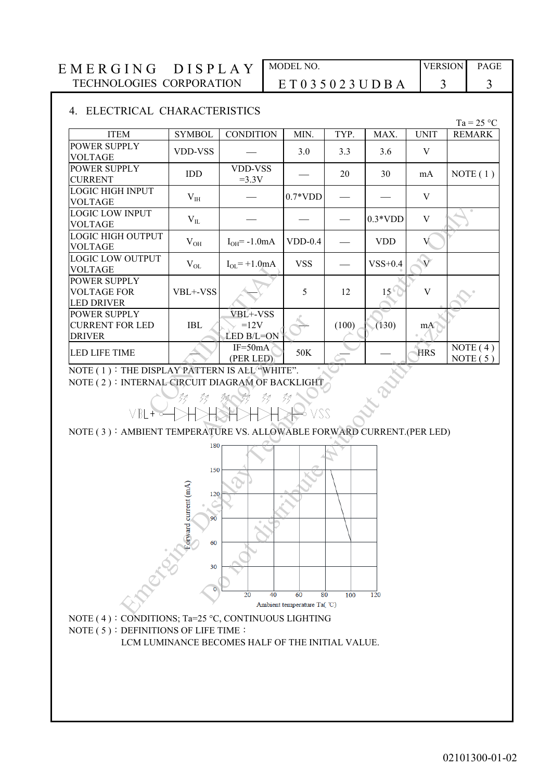| <b>ITEM</b><br>POWER SUPPLY<br><b>VOLTAGE</b><br>POWER SUPPLY<br><b>CURRENT</b><br><b>LOGIC HIGH INPUT</b><br><b>VOLTAGE</b><br><b>LOGIC LOW INPUT</b><br><b>VOLTAGE</b><br>LOGIC HIGH OUTPUT<br><b>VOLTAGE</b><br><b>LOGIC LOW OUTPUT</b><br><b>VOLTAGE</b><br>POWER SUPPLY<br><b>VOLTAGE FOR</b><br><b>LED DRIVER</b><br>POWER SUPPLY<br><b>CURRENT FOR LED</b><br><b>DRIVER</b><br><b>LED LIFE TIME</b><br>NOTE (1): THE DISPLAY PATTERN IS ALL "WHITE".<br>NOTE (2): INTERNAL CIRCUIT DIAGRAM OF BACKLIGHT<br>VBL<br>NOTE (3): AMBIENT TEMPERATURE VS. ALLOWABLE FORWARD CURRENT.(PER LED) | <b>SYMBOL</b><br>VDD-VSS<br>IDD<br>V <sub>IH</sub><br>$\rm V_{II}$<br>$V_{OH}$<br>$\rm V_{OL}$<br>VBL+-VSS<br><b>IBL</b> | <b>CONDITION</b><br>VDD-VSS<br>$=3.3V$<br>$I_{OH} = -1.0mA$<br>$I_{OL}$ = +1.0mA<br>VBL+-VSS<br>$=12V$ | MIN.<br>3.0<br>$0.7*VDD$<br>$VDD-0.4$<br><b>VSS</b><br>5 | TYP.<br>3.3<br>20<br>12 | MAX.<br>3.6<br>30<br>$0.3*VDD$<br><b>VDD</b><br>$VSS+0.4$<br>$15^{\circ}$ | <b>UNIT</b><br>$\mathbf V$<br>mA<br>V<br>$\ensuremath{\mathbf{V}}$<br>V<br>$\overline{V}$<br>$\mathbf V$ | $Ta = 25 °C$<br><b>REMARK</b><br>NOTE $(1)$ |
|------------------------------------------------------------------------------------------------------------------------------------------------------------------------------------------------------------------------------------------------------------------------------------------------------------------------------------------------------------------------------------------------------------------------------------------------------------------------------------------------------------------------------------------------------------------------------------------------|--------------------------------------------------------------------------------------------------------------------------|--------------------------------------------------------------------------------------------------------|----------------------------------------------------------|-------------------------|---------------------------------------------------------------------------|----------------------------------------------------------------------------------------------------------|---------------------------------------------|
|                                                                                                                                                                                                                                                                                                                                                                                                                                                                                                                                                                                                |                                                                                                                          |                                                                                                        |                                                          |                         |                                                                           |                                                                                                          |                                             |
|                                                                                                                                                                                                                                                                                                                                                                                                                                                                                                                                                                                                |                                                                                                                          |                                                                                                        |                                                          |                         |                                                                           |                                                                                                          |                                             |
|                                                                                                                                                                                                                                                                                                                                                                                                                                                                                                                                                                                                |                                                                                                                          |                                                                                                        |                                                          |                         |                                                                           |                                                                                                          |                                             |
|                                                                                                                                                                                                                                                                                                                                                                                                                                                                                                                                                                                                |                                                                                                                          |                                                                                                        |                                                          |                         |                                                                           |                                                                                                          |                                             |
|                                                                                                                                                                                                                                                                                                                                                                                                                                                                                                                                                                                                |                                                                                                                          |                                                                                                        |                                                          |                         |                                                                           |                                                                                                          |                                             |
|                                                                                                                                                                                                                                                                                                                                                                                                                                                                                                                                                                                                |                                                                                                                          |                                                                                                        |                                                          |                         |                                                                           |                                                                                                          |                                             |
|                                                                                                                                                                                                                                                                                                                                                                                                                                                                                                                                                                                                |                                                                                                                          |                                                                                                        |                                                          |                         |                                                                           |                                                                                                          |                                             |
|                                                                                                                                                                                                                                                                                                                                                                                                                                                                                                                                                                                                |                                                                                                                          |                                                                                                        |                                                          |                         |                                                                           |                                                                                                          |                                             |
|                                                                                                                                                                                                                                                                                                                                                                                                                                                                                                                                                                                                |                                                                                                                          | LED B/L=ON                                                                                             |                                                          | (100)                   | (130)                                                                     | mA                                                                                                       |                                             |
|                                                                                                                                                                                                                                                                                                                                                                                                                                                                                                                                                                                                |                                                                                                                          | $IF=50mA$<br>(PER LED)                                                                                 | 50K                                                      |                         |                                                                           | <b>HRS</b>                                                                                               | NOTE $(4)$<br>NOTE $(5)$                    |
| Marian Res                                                                                                                                                                                                                                                                                                                                                                                                                                                                                                                                                                                     | 31<br>zz<br>180<br>150<br>ward current (mA)<br>120<br>90                                                                 | 32<br>33<br>$\circ$                                                                                    | 32<br>VSS                                                |                         |                                                                           |                                                                                                          |                                             |
|                                                                                                                                                                                                                                                                                                                                                                                                                                                                                                                                                                                                | 60<br>30                                                                                                                 |                                                                                                        |                                                          | 80<br>100               | 120                                                                       |                                                                                                          |                                             |





LCM LUMINANCE BECOMES HALF OF THE INITIAL VALUE.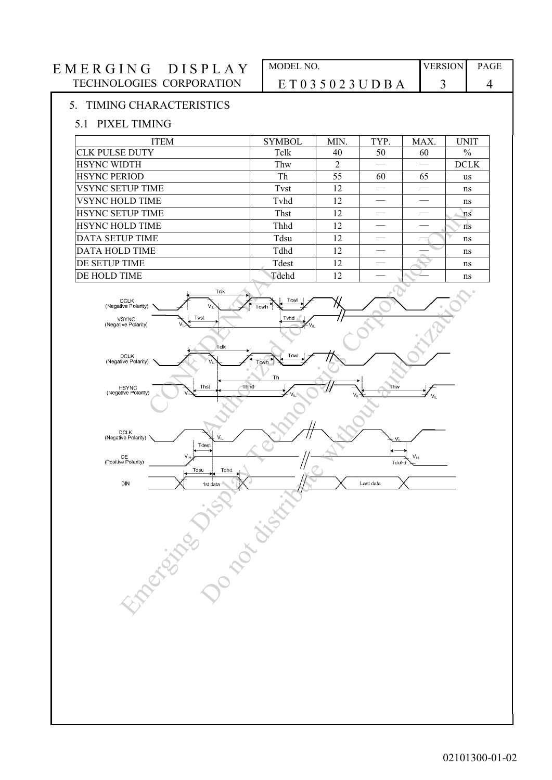# E M E R G I N G D I S P L A Y MODEL NO. VERSION PAGE TECHNOLOGIES CORPORATION E T 0 3 5 0 2 3 U D B A 3 4 5. TIMING CHARACTERISTICS 5.1 PIXEL TIMING ITEM SYMBOL MIN. TYP. MAX. UNIT CLK PULSE DUTY Tclk 40 50 60 % HSYNC WIDTH Thw 2 ─ ─ DCLK  $HSYNC$  PERIOD Th 55 60 65 us VSYNC SETUP TIME TVst  $\begin{array}{ccc} \text{12} & - & - \text{1} & \text{13} \\ \text{14} & \text{12} & \text{13} & \text{14} \\ \text{15} & \text{15} & \text{16} & \text{17} \\ \text{17} & \text{18} & \text{19} & \text{18} \\ \text{19} & \text{19} & \text{19} & \text{19} \\ \text{10} & \text{19} & \text{19} & \text{19} \\ \text{10} & \text{19} & \text{19} & \text{19} \\$ VSYNC HOLD TIME  $\vert$  Tvhd  $\vert$  12  $\vert$   $\vert$   $\vert$  ns HSYNC SETUP TIME  $\left| \begin{array}{ccc} 12 & | & - \end{array} \right|$  and  $\left| \begin{array}{ccc} 12 & | & - \end{array} \right|$ HSYNC HOLD TIME  $\left| \begin{array}{ccc} \text{Thhd} & 12 & | & - \end{array} \right|$ DATA SETUP TIME Tdsu 12 ─ ─ ns  $\overline{D}$ DATA HOLD TIME  $\overline{D}$  and  $\overline{D}$  and  $\overline{D}$  and  $\overline{D}$  and  $\overline{D}$  and  $\overline{D}$  and  $\overline{D}$  and  $\overline{D}$  and  $\overline{D}$  and  $\overline{D}$  and  $\overline{D}$  and  $\overline{D}$  and  $\overline{D}$  and  $\overline{D}$  and  $\overline{D}$  and  $\over$ DE SETUP TIME Tdest 12 ─ ─ ns  $DE HOLD TIME$  Tdehd 12  $\rightarrow$  1 Total Tring<br>
Total Tring<br>
Total Tring<br>
Total Tring<br>
Total Tring<br>
Total Tring<br>
Tring<br>
Tring<br>
Tring<br>
Tring<br>
Tring<br>
Tring<br>
Tring<br>
Tring<br>
Tring<br>
Tring<br>
Tring<br>
Tring<br>
Tring<br>
Tring<br>
Tring<br>
Tring<br>
Tring<br>
Tring<br>
Tring<br>
Tring<br>
Trin The Travel Town The Travel Travel Travel Travel Travel Travel Travel Travel Travel Travel Travel Travel Travel Travel Travel Travel Travel Travel Travel Travel Travel Travel Travel Travel Travel Travel Travel Travel Travel Emerging Display Technologies Corporation Only. The main  $\frac{1}{\sqrt{2}}$ <br>  $\frac{1}{\sqrt{2}}$ <br>  $\frac{1}{\sqrt{2}}$ <br>  $\frac{1}{\sqrt{2}}$ <br>  $\frac{1}{\sqrt{2}}$ <br>  $\frac{1}{\sqrt{2}}$ <br>  $\frac{1}{\sqrt{2}}$ <br>  $\frac{1}{\sqrt{2}}$ <br>  $\frac{1}{\sqrt{2}}$ <br>  $\frac{1}{\sqrt{2}}$ <br>  $\frac{1}{\sqrt{2}}$ <br>  $\frac{1}{\sqrt{2}}$ <br>  $\frac{1}{\sqrt{2}}$ <br>  $\frac{1}{\sqrt{2}}$ <br>  $\frac{1}{\sqrt{2}}$ <br>  $\$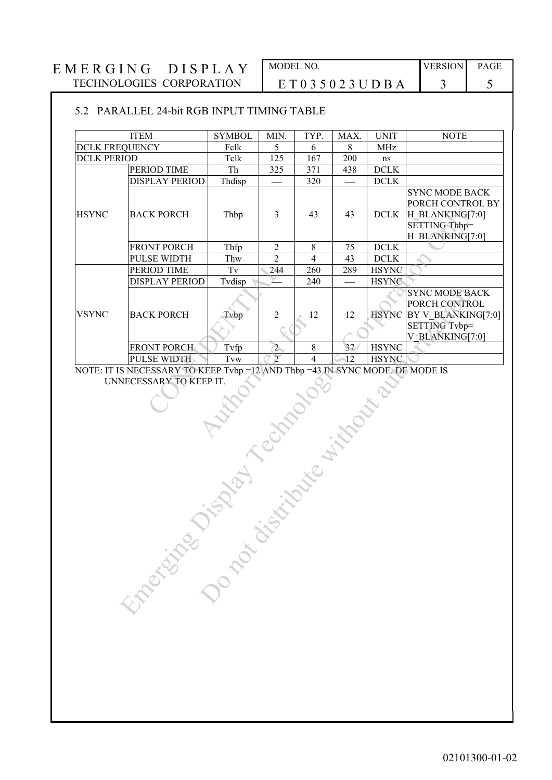### 5.2 PARALLEL 24-bit RGB INPUT TIMING TABLE

|                       | <b>ITEM</b>           | <b>SYMBOL</b>                                                                                                                                                                                                                 | MIN.           | TYP.           | MAX. | <b>UNIT</b>  | <b>NOTE</b>                                                                                             |
|-----------------------|-----------------------|-------------------------------------------------------------------------------------------------------------------------------------------------------------------------------------------------------------------------------|----------------|----------------|------|--------------|---------------------------------------------------------------------------------------------------------|
| <b>DCLK FREQUENCY</b> |                       | Fclk                                                                                                                                                                                                                          | 5              | 6              | 8    | <b>MHz</b>   |                                                                                                         |
| <b>DCLK PERIOD</b>    |                       | Tclk                                                                                                                                                                                                                          | 125            | 167            | 200  | $\rm ns$     |                                                                                                         |
|                       | PERIOD TIME           | Th                                                                                                                                                                                                                            | 325            | 371            | 438  | <b>DCLK</b>  |                                                                                                         |
|                       | <b>DISPLAY PERIOD</b> | Thdisp                                                                                                                                                                                                                        |                | 320            |      | $DCLK$       |                                                                                                         |
| <b>HSYNC</b>          | <b>BACK PORCH</b>     | Thbp                                                                                                                                                                                                                          | 3              | 43             | 43   | <b>DCLK</b>  | <b>SYNC MODE BACK</b><br>PORCH CONTROL BY<br>H BLANKING[7:0]<br><b>SETTING Thbp=</b><br>H BLANKING[7:0] |
|                       | FRONT PORCH           | Thfp                                                                                                                                                                                                                          | $\overline{2}$ | $\,8\,$        | 75   | <b>DCLK</b>  |                                                                                                         |
|                       | <b>PULSE WIDTH</b>    | Thw                                                                                                                                                                                                                           | $\overline{2}$ | $\overline{4}$ | 43   | <b>DCLK</b>  |                                                                                                         |
|                       | PERIOD TIME           | Tv                                                                                                                                                                                                                            | 244            | 260            | 289  | <b>HSYNG</b> |                                                                                                         |
|                       | <b>DISPLAY PERIOD</b> | Tvdisp                                                                                                                                                                                                                        |                | 240            |      | <b>HSYNC</b> |                                                                                                         |
| <b>VSYNC</b>          | <b>BACK PORCH</b>     | Tvbp                                                                                                                                                                                                                          | $\overline{2}$ | 12             | 12   |              | <b>SYNC MODE BACK</b><br>PORCH CONTROL<br>HSYNC BY V BLANKING[7:0]<br>SETTING Tvbp=<br>V BLANKING[7:0]  |
|                       | <b>FRONT PORCH</b>    | Tvfp                                                                                                                                                                                                                          | $\overline{2}$ | 8              | 37   | <b>HSYNC</b> |                                                                                                         |
|                       | PULSE WIDTH           |                                                                                                                                                                                                                               |                |                |      |              |                                                                                                         |
|                       |                       | Cristine of the Control of the Control of the Control of the Control of the Control of the Control of the Control of the Control of the Control of the Control of the Control of the Control of the Control of the Control of |                |                |      |              |                                                                                                         |
|                       |                       |                                                                                                                                                                                                                               |                |                |      |              |                                                                                                         |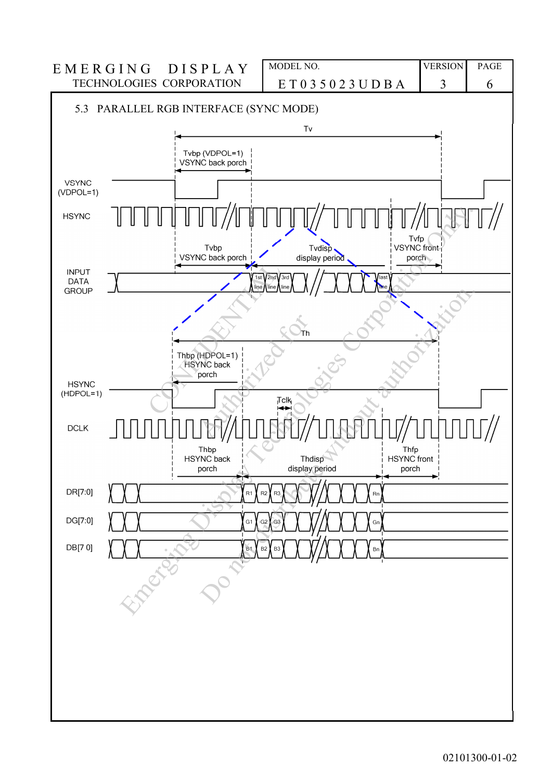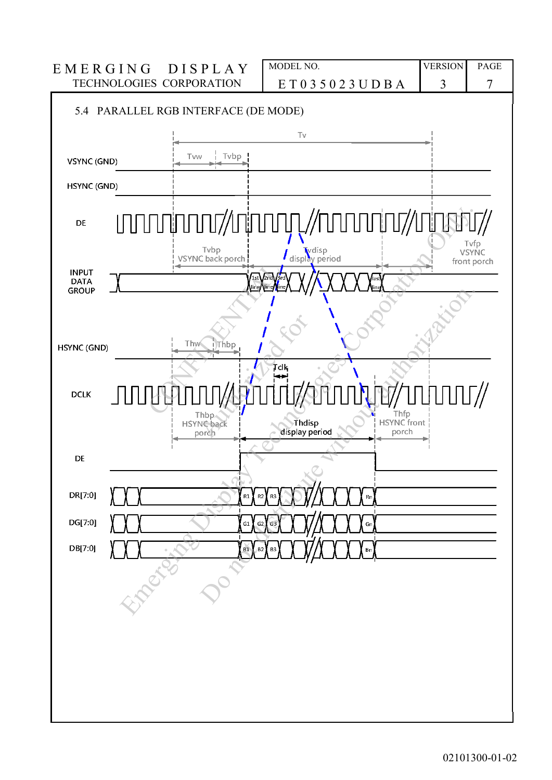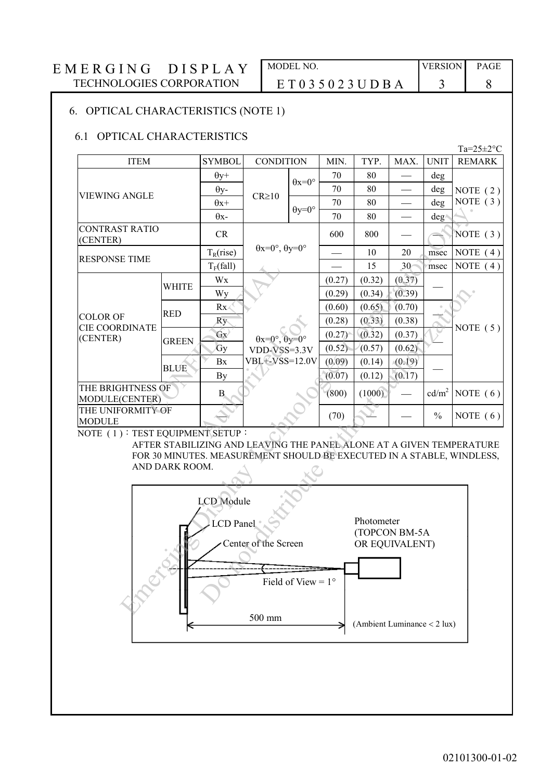### 6. OPTICAL CHARACTERISTICS (NOTE 1)

#### 6.1 OPTICAL CHARACTERISTICS

Ta= $25 \pm 2$ °C ITEM SYMBOL CONDITION MIN. TYP. MAX. UNIT REMARK VIEWING ANGLE  $\theta$ y+  $CR \ge 10$  $\theta$ x=0° 70 80 - deg NOTE ( 2 ) NOTE ( 3 )  $\theta$ y-  $\begin{array}{|c|c|c|c|c|c|c|c|} \hline \end{array}$   $\begin{array}{|c|c|c|c|c|c|} \hline \end{array}$  70 | 80 | — | deg  $\theta$ x+  $\theta$ y=0°  $70 \t 80 \t - \t deg$  $\theta$ x-  $\begin{vmatrix} 0 & 0 \\ 0 & 1 \end{vmatrix}$  70 80  $\begin{vmatrix} 0 & 0 \\ 0 & 0 \end{vmatrix}$  deg CONTRAST RATIO CONTRAST RATIO CR  $\theta$ x=0°,  $\theta$ y=0° 600 | 800 |  $-$  |  $\sim$  NOTE (3) RESPONSE TIME  $T_R$ (rise)  $10^{10}$   $10^{10}$   $10^{10}$   $10^{10}$   $10^{10}$   $10^{10}$  msec NOTE (4)  $T_F$ (fall)  $\vert$  15  $\vert$  30 msec NOTE (4) COLOR OF CIE COORDINATE (CENTER) WHITE Wx  $\theta x=0^\circ$ ,  $\theta y=0^\circ$ VDD-VSS=3.3V VBL+-VSS=12.0V  $\frac{(0.27)}{(0.29)}$   $\frac{(0.32)}{(0.34)}$   $\frac{(0.37)}{(0.39)}$ NOTE ( 5 )  $W_y$  (0.29) (0.34) (0.39) RED Rx (0.60) (0.65) (0.70)<br>  $R_y$  (0.28) (0.33) (0.38) GREEN  $G_X = \begin{bmatrix} 6x \\ 6y \end{bmatrix}$   $\begin{array}{c} \theta x = 0^\circ, \theta y = 0^\circ \\ \theta y = 0^\circ \end{array}$   $\begin{array}{c} (0.27) \\ (0.52) \end{array}$   $\begin{array}{c} (0.32) \\ (0.57) \end{array}$   $\begin{array}{c} (0.37) \\ (0.62) \end{array}$ BLUE Bx VBL+-VSS=12.0V  $(0.09)$   $(0.14)$   $(0.19)$ <br>(0.17)  $(0.17)$ THE BRIGHTNESS OF MODULE(CENTER) B B (800)  $(1000)$   $cd/m^2$ NOTE  $(6)$ THE UNIFORMITY OF MODULE MODULE  $(70)$   $\begin{bmatrix} 0 \\ 0 \end{bmatrix}$   $\begin{bmatrix} 0 \\ 0 \end{bmatrix}$  NOTE (6)  $\begin{tabular}{|c|c|c|} \hline & $T_{\rm F}({\rm fall})$ \\ \hline \multicolumn{1}{|c|}{\text{WHITE}} & \multicolumn{1}{|c|}{\text{Wx}}\\ \hline \multicolumn{1}{|c|}{\text{WHITE}} & \multicolumn{1}{|c|}{\text{Wy}}\\ \hline \multicolumn{1}{|c|}{\text{RED}} & \multicolumn{1}{|c|}{\text{Rx}}\\ \hline \multicolumn{1}{|c|}{\text{RED}} & \multicolumn{1}{|c|}{\text{Gx}}\\ \hline \multicolumn{1}{|c|}{\text{G}} & \multicolumn{1}{|c|}{\text{G$  $\begin{array}{c|c}\n & \text{Ry} \\
\hline\n\text{Gy} & \text{0x=0}^\circ, \text{0y=0}^\circ \\
\hline\n\text{Gy} & \text{VDD-VSS=3.3V} \\
\hline\n\text{Bx} & \text{VBL+VSS=12.0V} \\
\hline\n\text{By} & \text{B} & \text{NDT+VSS=12.0V} \\
\hline\n\text{NTSETUP}: & \text{NTSETUP}: & \text{NTSETUP}: & \text{NTSETUP}: & \text{NTSETUP}: & \text{NTSETUP}: & \text{NTSETUP}: & \text{NTSETUP}: & \text{NTSETUP}:$ STRATIO CR<br>
FITATIO CR<br>
FITATIO CR<br>
DETIME T<sub>RIGINE</sub> Ox-0<sup>y</sup>, 0y-0<sup>y</sup> 50 800 anse NOT<br>
ETIME TRIGINE TRATIO CORPORATION CREATED ON THE CORPORATION CREATED BY<br>
WITH WAY CORPORATION CORPORATION CREATED ON THE CORPORATION ON Wy<br>
Rx<br>
Rx<br>
(0.60) (0.65) (0.70) (0.65) (0.70)<br>
(0.70) (0.65) (0.70) (0.87)<br>
Gy<br>
(0.87) (0.62) (0.87) (0.87) (0.87)<br>
Bx<br>
VBL-CVSS=12.0V (0.09) (0.14) (0.19)<br>
By<br>
(0.07) (0.12) (0.17) –<br>
By<br>
(0.07) (0.12) (0.17) –<br>
By<br>
(0.

NOTE (1): TEST EQUIPMENT SETUP:

AFTER STABILIZING AND LEAVING THE PANEL ALONE AT A GIVEN TEMPERATURE FOR 30 MINUTES. MEASUREMENT SHOULD BE EXECUTED IN A STABLE, WINDLESS, AND DARK ROOM.

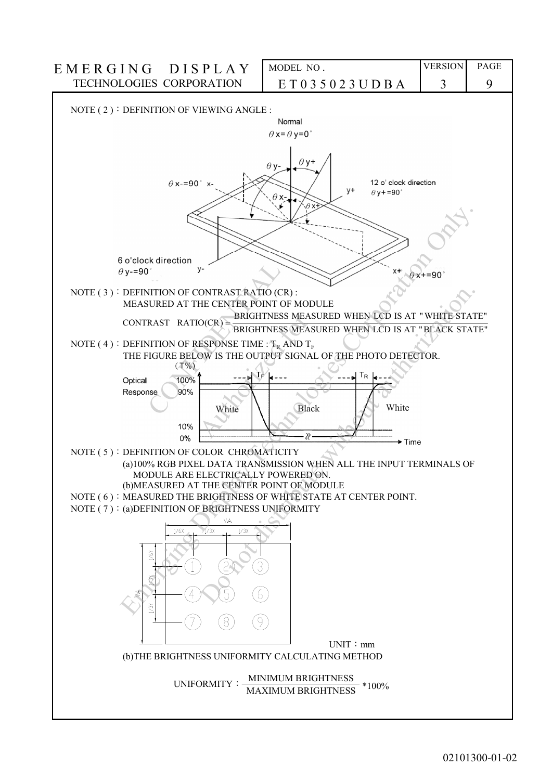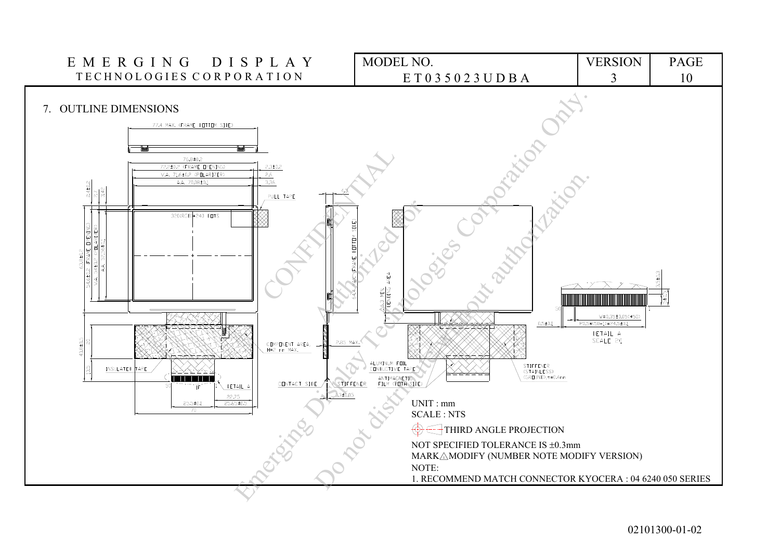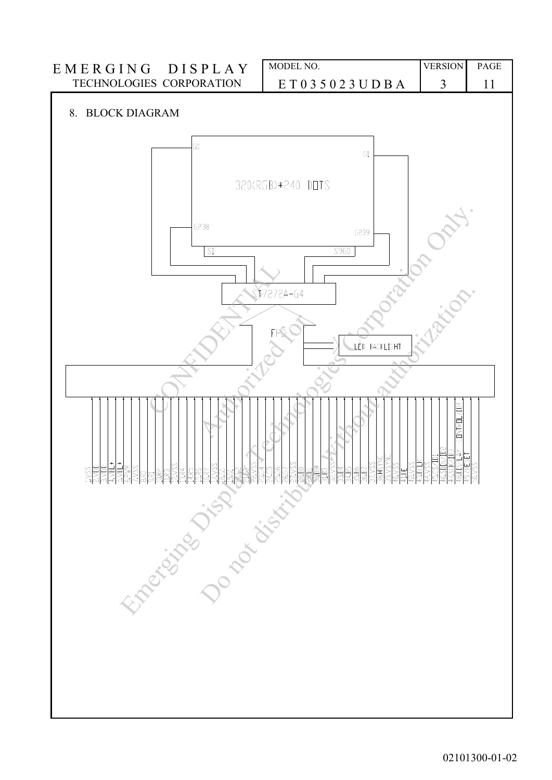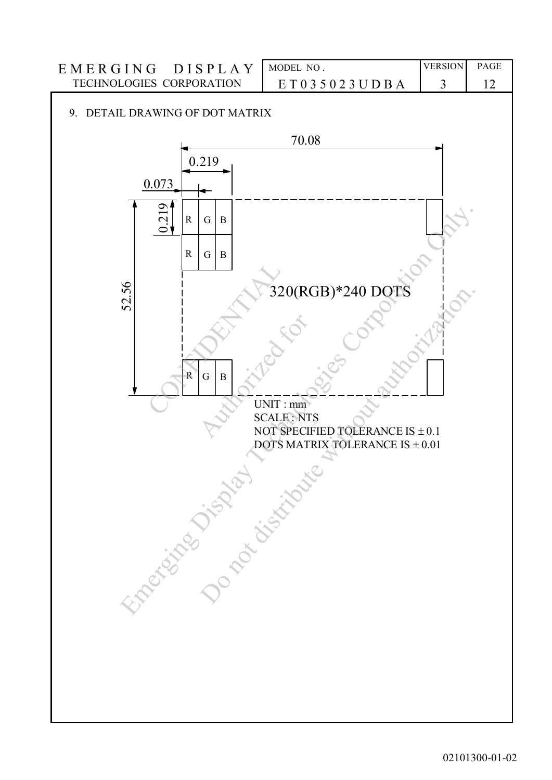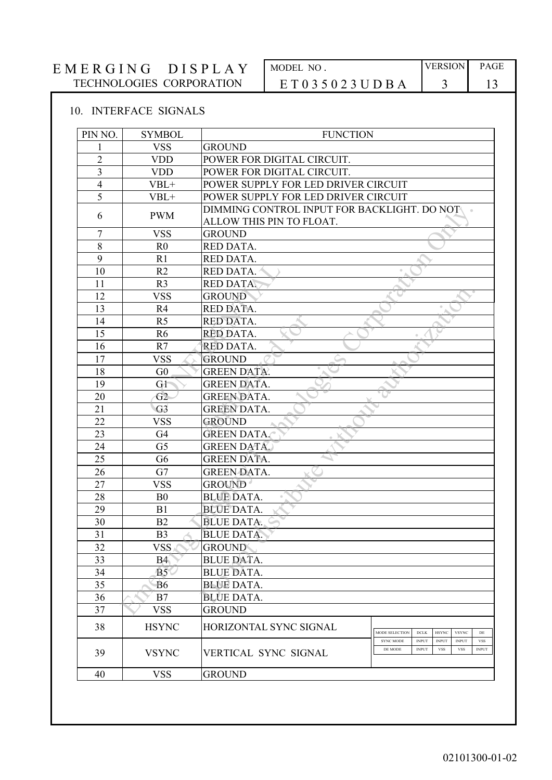# $E M E R G I N G D I S P L A Y$ TECHNOLOGIES CORPORATION

| MODEL NO                | <b>VERSION</b> | <b>PAGE</b> |
|-------------------------|----------------|-------------|
| E T 0 3 5 0 2 3 U D B A |                |             |

# 10. INTERFACE SIGNALS

| PIN NO.        | <b>SYMBOL</b>   | <b>FUNCTION</b>                                                         |                                                                                                                                                       |
|----------------|-----------------|-------------------------------------------------------------------------|-------------------------------------------------------------------------------------------------------------------------------------------------------|
| 1              | <b>VSS</b>      | <b>GROUND</b>                                                           |                                                                                                                                                       |
| $\overline{2}$ | <b>VDD</b>      | POWER FOR DIGITAL CIRCUIT.                                              |                                                                                                                                                       |
| $\overline{3}$ | <b>VDD</b>      | POWER FOR DIGITAL CIRCUIT.                                              |                                                                                                                                                       |
| $\overline{4}$ | $VBL+$          | POWER SUPPLY FOR LED DRIVER CIRCUIT                                     |                                                                                                                                                       |
| 5              | $VBL+$          | POWER SUPPLY FOR LED DRIVER CIRCUIT                                     |                                                                                                                                                       |
| 6              | <b>PWM</b>      | DIMMING CONTROL INPUT FOR BACKLIGHT. DO NOT<br>ALLOW THIS PIN TO FLOAT. |                                                                                                                                                       |
| 7              | <b>VSS</b>      | <b>GROUND</b>                                                           |                                                                                                                                                       |
| $8\,$          | R <sub>0</sub>  | RED DATA.                                                               |                                                                                                                                                       |
| 9              | R1              | RED DATA.                                                               |                                                                                                                                                       |
| 10             | R2              | RED DATA.                                                               |                                                                                                                                                       |
| 11             | R <sub>3</sub>  | RED DATA.                                                               |                                                                                                                                                       |
| 12             | <b>VSS</b>      | <b>GROUND</b>                                                           |                                                                                                                                                       |
| 13             | R <sub>4</sub>  | RED DATA.                                                               |                                                                                                                                                       |
| 14             | R <sub>5</sub>  | RED DATA.                                                               |                                                                                                                                                       |
| 15             | R <sub>6</sub>  | RED DATA.                                                               |                                                                                                                                                       |
| 16             | R7              | RED DATA.                                                               |                                                                                                                                                       |
| 17             | <b>VSS</b>      | <b>GROUND</b>                                                           |                                                                                                                                                       |
| 18             | G <sub>0</sub>  | <b>GREEN DATA.</b>                                                      |                                                                                                                                                       |
| 19             | Gł              | <b>GREEN DATA.</b>                                                      |                                                                                                                                                       |
| 20             | G2              | <b>GREEN DATA.</b>                                                      |                                                                                                                                                       |
| 21             | G3              | <b>GREEN DATA.</b>                                                      |                                                                                                                                                       |
| 22             | <b>VSS</b>      | <b>GROUND</b>                                                           |                                                                                                                                                       |
| 23             | G4              | <b>GREEN DATA.</b>                                                      |                                                                                                                                                       |
| 24             | G <sub>5</sub>  | <b>GREEN DATA.</b>                                                      |                                                                                                                                                       |
| 25             | G <sub>6</sub>  | <b>GREEN DATA.</b>                                                      |                                                                                                                                                       |
| 26             | G7              | <b>GREEN DATA.</b>                                                      |                                                                                                                                                       |
| 27             | <b>VSS</b>      | <b>GROUND</b>                                                           |                                                                                                                                                       |
| 28             | B <sub>0</sub>  | <b>BLUE DATA.</b>                                                       |                                                                                                                                                       |
| 29             | B1              | <b>BLUE DATA.</b>                                                       |                                                                                                                                                       |
| 30             | B2              | <b>BLUE DATA.</b>                                                       |                                                                                                                                                       |
| 31             | B <sub>3</sub>  | <b>BLUE DATA.</b>                                                       |                                                                                                                                                       |
| 32             | <b>VSS</b>      | <b>GROUND</b>                                                           |                                                                                                                                                       |
| 33             | B4 <sup>′</sup> | <b>BLUE DATA.</b>                                                       |                                                                                                                                                       |
| 34             | B5              | <b>BLUE DATA.</b>                                                       |                                                                                                                                                       |
| 35             | B <sub>6</sub>  | <b>BLUE DATA.</b>                                                       |                                                                                                                                                       |
| 36             | B7              | <b>BLUE DATA.</b>                                                       |                                                                                                                                                       |
| 37             | <b>VSS</b>      | <b>GROUND</b>                                                           |                                                                                                                                                       |
| 38             | <b>HSYNC</b>    | HORIZONTAL SYNC SIGNAL                                                  | MODE SELECTION<br><b>DCLK</b><br><b>HSYNC</b><br><b>VSYNC</b><br>$\rm{DE}$                                                                            |
| 39             | <b>VSYNC</b>    | VERTICAL SYNC SIGNAL                                                    | <b>SYNC MODE</b><br><b>INPUT</b><br><b>INPUT</b><br><b>INPUT</b><br><b>VSS</b><br>DE MODE<br><b>INPUT</b><br><b>VSS</b><br><b>VSS</b><br><b>INPUT</b> |
|                | <b>VSS</b>      | <b>GROUND</b>                                                           |                                                                                                                                                       |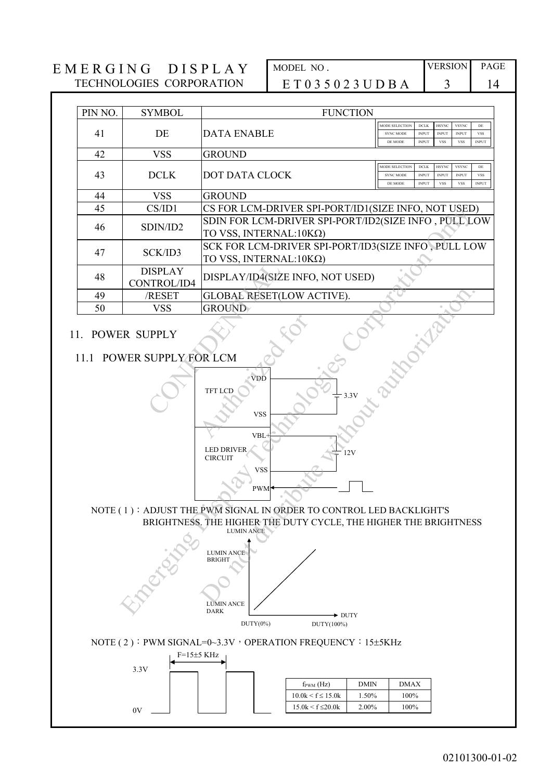| PIN NO. | <b>SYMBOL</b>                 | <b>FUNCTION</b>                                                                                                                                              |                                    |                              |                              |                              |                            |
|---------|-------------------------------|--------------------------------------------------------------------------------------------------------------------------------------------------------------|------------------------------------|------------------------------|------------------------------|------------------------------|----------------------------|
| 41      | DE                            | <b>DATA ENABLE</b>                                                                                                                                           | MODE SELECTION<br><b>SYNC MODE</b> | $DCLK$<br><b>INPUT</b>       | <b>HSYNC</b><br><b>INPUT</b> | <b>VSYNC</b><br><b>INPUT</b> | $\rm{DE}$<br><b>VSS</b>    |
| 42      | <b>VSS</b>                    | <b>GROUND</b>                                                                                                                                                | DE MODE                            | <b>INPUT</b>                 | <b>VSS</b>                   | <b>VSS</b>                   | <b>INPUT</b>               |
|         |                               |                                                                                                                                                              | MODE SELECTION                     | <b>DCLK</b>                  | <b>HSYNC</b>                 | <b>VSYNC</b>                 | DE                         |
| 43      | <b>DCLK</b>                   | DOT DATA CLOCK                                                                                                                                               | <b>SYNC MODE</b><br>DE MODE        | <b>INPUT</b><br><b>INPUT</b> | <b>INPUT</b><br><b>VSS</b>   | <b>INPUT</b><br><b>VSS</b>   | <b>VSS</b><br><b>INPUT</b> |
| 44      | <b>VSS</b>                    | <b>GROUND</b>                                                                                                                                                |                                    |                              |                              |                              |                            |
| 45      | CS/ID1                        | CS FOR LCM-DRIVER SPI-PORT/ID1(SIZE INFO, NOT USED)                                                                                                          |                                    |                              |                              |                              |                            |
| 46      | SDIN/ID2                      | SDIN FOR LCM-DRIVER SPI-PORT/ID2(SIZE INFO, PULL LOW<br>TO VSS, INTERNAL: 10ΚΩ)                                                                              |                                    |                              |                              |                              |                            |
| 47      | SCK/ID3                       | SCK FOR LCM-DRIVER SPI-PORT/ID3(SIZE INFO, PULL LOW<br>TO VSS, INTERNAL:10ΚΩ)                                                                                |                                    |                              |                              |                              |                            |
| 48      | <b>DISPLAY</b><br>CONTROL/ID4 | DISPLAY/ID4(SIZE INFO, NOT USED)                                                                                                                             |                                    |                              |                              |                              |                            |
| 49      | /RESET                        | <b>GLOBAL RESET(LOW ACTIVE).</b>                                                                                                                             |                                    |                              |                              |                              |                            |
| 50      | <b>VSS</b>                    | <b>GROUND</b>                                                                                                                                                |                                    |                              |                              |                              |                            |
|         |                               | TFT LCD<br>$\frac{1}{1}$ 3.3V                                                                                                                                |                                    |                              |                              |                              |                            |
|         |                               | <b>VSS</b><br>VBL-<br><b>LED DRIVER</b><br>12V<br><b>CIRCUIT</b>                                                                                             |                                    |                              |                              |                              |                            |
|         |                               | <b>VSS</b><br><b>PWM</b>                                                                                                                                     |                                    |                              |                              |                              |                            |
|         |                               | NOTE (1): ADJUST THE PWM SIGNAL IN ORDER TO CONTROL LED BACKLIGHT'S<br>BRIGHTNESS. THE HIGHER THE DUTY CYCLE, THE HIGHER THE BRIGHTNESS<br><b>LUMIN ANCE</b> |                                    |                              |                              |                              |                            |
|         |                               | <b>LUMIN ANCE</b><br><b>BRIGHT</b><br><b>LUMIN ANCE</b><br><b>DARK</b><br>$\blacktriangleright$ DUTY                                                         |                                    |                              |                              |                              |                            |
|         |                               | $DUTY(0\%)$<br>DUTY(100%)                                                                                                                                    |                                    |                              |                              |                              |                            |
|         | $F=15±5$ KHz<br>3.3V          | NOTE (2): PWM SIGNAL=0~3.3V , OPERATION FREQUENCY : 15±5KHz                                                                                                  |                                    |                              |                              |                              |                            |
|         |                               | <b>DMIN</b><br>$f_{\text{PWM}}(Hz)$<br>$10.0k \le f \le 15.0k$<br>1.50%                                                                                      | <b>DMAX</b><br>100%                |                              |                              |                              |                            |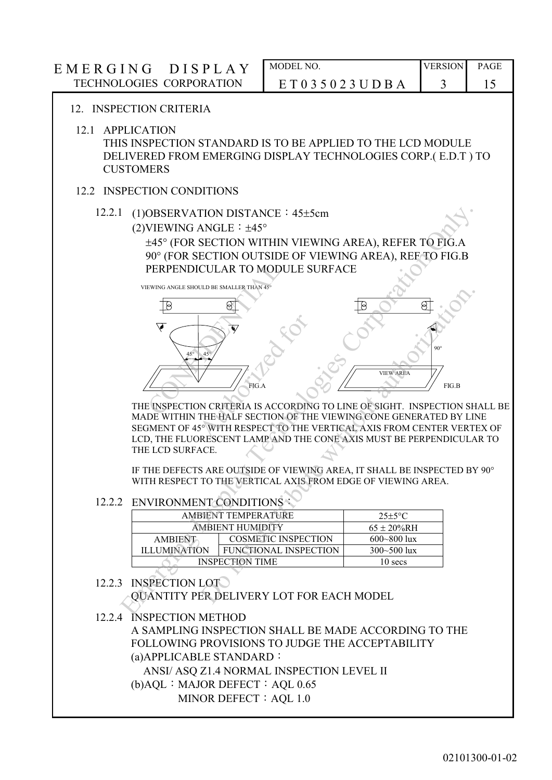# E M E R G I N G D I S P L A Y MODEL NO. VERSION PAGE TECHNOLOGIES CORPORATION E T 0 3 5 0 2 3 U D B A 3 15 12. INSPECTION CRITERIA 12.1 APPLICATION THIS INSPECTION STANDARD IS TO BE APPLIED TO THE LCD MODULE DELIVERED FROM EMERGING DISPLAY TECHNOLOGIES CORP.( E.D.T ) TO **CUSTOMERS** 12.2 INSPECTION CONDITIONS 12.2.1 (1)OBSERVATION DISTANCE: 45±5cm (2) VIEWING ANGLE:  $\pm 45^\circ$ 45 (FOR SECTION WITHIN VIEWING AREA), REFER TO FIG.A 90° (FOR SECTION OUTSIDE OF VIEWING AREA), REF TO FIG.B PERPENDICULAR TO MODULE SURFACE VIEWING ANGLE SHOULD BE SMALLER THAN 45  $45^\circ$  45° FIG.A 90 FIG.B VIEW ARE THE INSPECTION CRITERIA IS ACCORDING TO LINE OF SIGHT. INSPECTION SHALL BE MADE WITHIN THE HALF SECTION OF THE VIEWING CONE GENERATED BY LINE SEGMENT OF 45° WITH RESPECT TO THE VERTICAL AXIS FROM CENTER VERTEX OF LCD, THE FLUORESCENT LAMP AND THE CONE AXIS MUST BE PERPENDICULAR TO THE LCD SURFACE. IF THE DEFECTS ARE OUTSIDE OF VIEWING AREA, IT SHALL BE INSPECTED BY 90 WITH RESPECT TO THE VERTICAL AXIS FROM EDGE OF VIEWING AREA. 12.2.2 ENVIRONMENT CONDITIONS: AMBIENT TEMPERATURE 25±5°C AMBIENT HUMIDITY 65 ± 20%RH AMBIENT ILLUMINATION COSMETIC INSPECTION 600~800 lux FUNCTIONAL INSPECTION 300~500 lux INSPECTION TIME 10 secs 12.2.3 INSPECTION LOT QUANTITY PER DELIVERY LOT FOR EACH MODEL 12.2.4 INSPECTION METHOD A SAMPLING INSPECTION SHALL BE MADE ACCORDING TO THE FOLLOWING PROVISIONS TO JUDGE THE ACCEPTABILITY PERPENDICULAR TO MOD V EMERICAN DISTANCE : 45±5cm<br>
(2) VEWING ANGLE : 145°C<br>
(2) VEWING ANGLE : 145°C<br>
167 GR SECTION OUTSIDE OF VIEWING AREA), REFER TO FIG. A<br>
90° (FOR SECTION OUTSIDE OF VIEWING AREA), REF. TO FIG. B<br>
PERPENDICULAR TO MODULE DE CONDITIONS<br>
THE HALF SECTION OF THE VERTICAL AND FROM THE VERTICAL AND THE CORPORATION OF THE VERTICAL AND THE CONDITIONS CONDITION OF THE VERTICAL AXIS FROM CENTER VERTICAL AND THE CONDITIONS OF THE VERTICAL AND THE CO

(a)APPLICABLE STANDARD:

ANSI/ ASQ Z1.4 NORMAL INSPECTION LEVEL II

(b)AQL:MAJOR DEFECT:AQL 0.65

MINOR DEFECT: AOL 1.0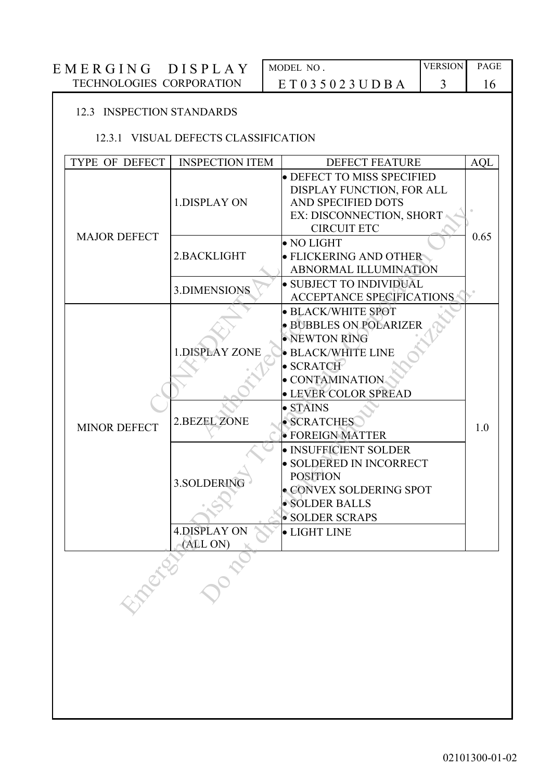| E M E R G I N G<br><b>IDISPLA</b> | MODEL NO.               | <b>VERSION</b> | <b>PAGE</b> |
|-----------------------------------|-------------------------|----------------|-------------|
| TECHNOLOGIES CORPORATION          | E T 0 3 5 0 2 3 U D B A |                |             |

# 12.3 INSPECTION STANDARDS

# 12.3.1 VISUAL DEFECTS CLASSIFICATION

| TYPE OF DEFECT      | <b>INSPECTION ITEM</b>                                                                         | <b>DEFECT FEATURE</b>                                                                                                                                                                                                                                                                                                                                             | <b>AQL</b> |
|---------------------|------------------------------------------------------------------------------------------------|-------------------------------------------------------------------------------------------------------------------------------------------------------------------------------------------------------------------------------------------------------------------------------------------------------------------------------------------------------------------|------------|
|                     | 1.DISPLAY ON                                                                                   | · DEFECT TO MISS SPECIFIED<br>DISPLAY FUNCTION, FOR ALL<br>AND SPECIFIED DOTS<br>EX: DISCONNECTION, SHORT<br><b>CIRCUIT ETC</b>                                                                                                                                                                                                                                   |            |
| <b>MAJOR DEFECT</b> | 2.BACKLIGHT                                                                                    | $\bullet$ NO LIGHT<br>· FLICKERING AND OTHER<br>ABNORMAL ILLUMINATION                                                                                                                                                                                                                                                                                             | 0.65       |
|                     | 3.DIMENSIONS                                                                                   | · SUBJECT TO INDIVIDUAL<br><b>ACCEPTANCE SPECIFICATIONS</b>                                                                                                                                                                                                                                                                                                       |            |
| <b>MINOR DEFECT</b> | <b>1.DISPLAY ZONE</b><br><b>2.BEZEL ZONE</b><br>3.SOLDERING<br><b>4.DISPLAY ON</b><br>(ALL ON) | · BLACK/WHITE SPOT<br>· BUBBLES ON POLARIZER<br>· NEWTON RING<br>· BLACK/WHITE LINE<br>$\bullet$ SCRATCH<br>· CONTAMINATION<br>· LEVER COLOR SPREAD<br>$\bullet$ STAINS<br>· SCRATCHES<br>· FOREIGN MATTER<br>· INSUFFICIENT SOLDER<br>· SOLDERED IN INCORRECT<br><b>POSITION</b><br>· CONVEX SOLDERING SPOT<br>· SOLDER BALLS<br>· SOLDER SCRAPS<br>· LIGHT LINE | 1.0        |
| EXPERIS             | Doct                                                                                           |                                                                                                                                                                                                                                                                                                                                                                   |            |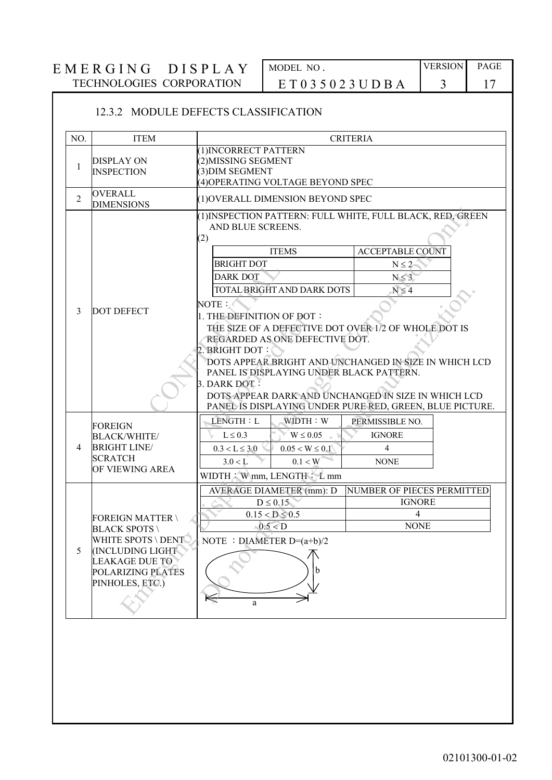# E M E R G I N G D I S P L A Y MODEL NO. TECHNOLOGIES CORPORATION E T 0 3 5 0 2 3 U D B A 3 17 TECHNOLOGIES CORPORATION  $ET 0 3 5 0 2 3 U D B A$  3 17

# 12.3.2 MODULE DEFECTS CLASSIFICATION

| NO. | <b>ITEM</b>                                                                                                                                                    |                                                                                                                                                                                                                                                                                                                                                                                                                                                                                                                                                                        | <b>CRITERIA</b>                                                   |  |
|-----|----------------------------------------------------------------------------------------------------------------------------------------------------------------|------------------------------------------------------------------------------------------------------------------------------------------------------------------------------------------------------------------------------------------------------------------------------------------------------------------------------------------------------------------------------------------------------------------------------------------------------------------------------------------------------------------------------------------------------------------------|-------------------------------------------------------------------|--|
| 1   | <b>DISPLAY ON</b><br><b>INSPECTION</b>                                                                                                                         | (1) INCORRECT PATTERN<br>(2) MISSING SEGMENT<br>(3) DIM SEGMENT<br>(4) OPERATING VOLTAGE BEYOND SPEC                                                                                                                                                                                                                                                                                                                                                                                                                                                                   |                                                                   |  |
| 2   | <b>OVERALL</b><br><b>DIMENSIONS</b>                                                                                                                            | (1) OVERALL DIMENSION BEYOND SPEC                                                                                                                                                                                                                                                                                                                                                                                                                                                                                                                                      |                                                                   |  |
| 3   | <b>DOT DEFECT</b>                                                                                                                                              | (1) INSPECTION PATTERN: FULL WHITE, FULL BLACK, RED, GREEN<br>AND BLUE SCREENS.<br>(2)<br><b>ITEMS</b><br><b>BRIGHT DOT</b><br><b>DARK DOT</b><br>TOTAL BRIGHT AND DARK DOTS<br>NOTE:<br>1. THE DEFINITION OF DOT:<br>THE SIZE OF A DEFECTIVE DOT OVER 1/2 OF WHOLE DOT IS<br>REGARDED AS ONE DEFECTIVE DOT.<br>2. BRIGHT DOT:<br>DOTS APPEAR BRIGHT AND UNCHANGED IN SIZE IN WHICH LCD<br>PANEL IS DISPLAYING UNDER BLACK PATTERN.<br>3. DARK DOT:<br>DOTS APPEAR DARK AND UNCHANGED IN SIZE IN WHICH LCD<br>PANEL IS DISPLAYING UNDER PURE RED, GREEN, BLUE PICTURE. | <b>ACCEPTABLE COUNT</b><br>$N \leq 2$<br>$N \leq 3$<br>$N \leq 4$ |  |
| 4   | <b>FOREIGN</b><br><b>BLACK/WHITE/</b><br><b>BRIGHT LINE/</b><br><b>SCRATCH</b><br>OF VIEWING AREA                                                              | LENGTH: L<br>WIDTH: W<br>$L \leq 0.3$<br>$W \leq 0.05$<br>$0.3 < L \leq 3.0$<br>$0.05 < W \leq 0.1$<br>3.0 < L<br>0.1 < W<br>WIDTH: W mm, LENGTH: L mm                                                                                                                                                                                                                                                                                                                                                                                                                 | PERMISSIBLE NO.<br><b>IGNORE</b><br>$\overline{4}$<br><b>NONE</b> |  |
| 5   | <b>FOREIGN MATTER \</b><br><b>BLACK SPOTS</b><br>WHITE SPOTS \ DENT<br><b>INCLUDING LIGHT</b><br><b>LEAKAGE DUE TO</b><br>POLARIZING PLATES<br>PINHOLES, ETC.) | <b>AVERAGE DIAMETER (mm): D</b><br>$D \leq 0.15$<br>$0.15 < D \le 0.5$<br>0.5 < D<br>NOTE : DIAMETER $D=(a+b)/2$<br>b                                                                                                                                                                                                                                                                                                                                                                                                                                                  | NUMBER OF PIECES PERMITTED<br><b>IGNORE</b><br>4<br><b>NONE</b>   |  |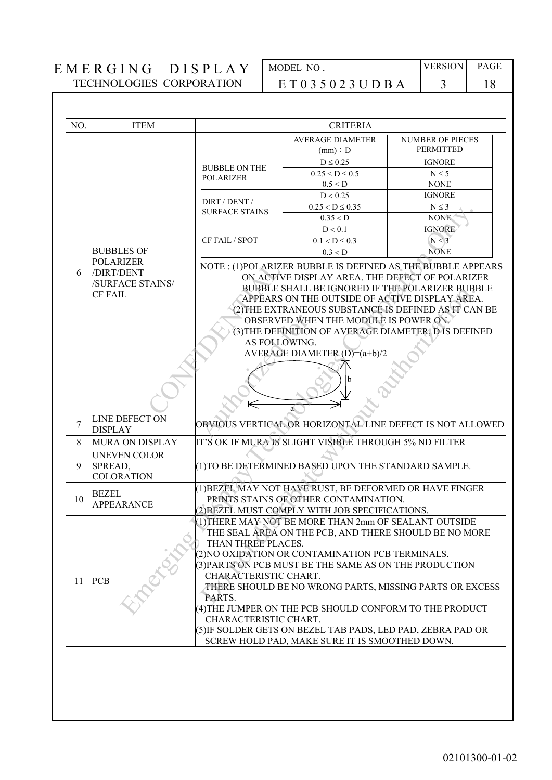| MODEL NO . |                     |  |  |  |
|------------|---------------------|--|--|--|
|            | E T 0 3 5 0 2 3 U I |  |  |  |

| NO.                                                                                                              | <b>ITEM</b>                                                                                                | <b>CRITERIA</b>                                                                                                                                                                                                                                                                                                                                                                                                                                                                                                                                                                                         |                                                        |                  |  |
|------------------------------------------------------------------------------------------------------------------|------------------------------------------------------------------------------------------------------------|---------------------------------------------------------------------------------------------------------------------------------------------------------------------------------------------------------------------------------------------------------------------------------------------------------------------------------------------------------------------------------------------------------------------------------------------------------------------------------------------------------------------------------------------------------------------------------------------------------|--------------------------------------------------------|------------------|--|
|                                                                                                                  |                                                                                                            |                                                                                                                                                                                                                                                                                                                                                                                                                                                                                                                                                                                                         | <b>AVERAGE DIAMETER</b>                                | NUMBER OF PIECES |  |
|                                                                                                                  |                                                                                                            |                                                                                                                                                                                                                                                                                                                                                                                                                                                                                                                                                                                                         | (mm) : D                                               | <b>PERMITTED</b> |  |
|                                                                                                                  |                                                                                                            | <b>BUBBLE ON THE</b>                                                                                                                                                                                                                                                                                                                                                                                                                                                                                                                                                                                    | $D \leq 0.25$                                          | <b>IGNORE</b>    |  |
|                                                                                                                  |                                                                                                            | <b>POLARIZER</b>                                                                                                                                                                                                                                                                                                                                                                                                                                                                                                                                                                                        | $0.25 < D \le 0.5$                                     | $N \leq 5$       |  |
|                                                                                                                  |                                                                                                            |                                                                                                                                                                                                                                                                                                                                                                                                                                                                                                                                                                                                         | 0.5 < D                                                | <b>NONE</b>      |  |
|                                                                                                                  |                                                                                                            | DIRT / DENT /                                                                                                                                                                                                                                                                                                                                                                                                                                                                                                                                                                                           | D < 0.25                                               | <b>IGNORE</b>    |  |
|                                                                                                                  |                                                                                                            | <b>SURFACE STAINS</b>                                                                                                                                                                                                                                                                                                                                                                                                                                                                                                                                                                                   | $0.25 < D \le 0.35$                                    | $N \leq 3$       |  |
|                                                                                                                  |                                                                                                            |                                                                                                                                                                                                                                                                                                                                                                                                                                                                                                                                                                                                         | 0.35 < D                                               | <b>NONE</b>      |  |
|                                                                                                                  |                                                                                                            |                                                                                                                                                                                                                                                                                                                                                                                                                                                                                                                                                                                                         | D < 0.1                                                | <b>IGNORE</b>    |  |
|                                                                                                                  |                                                                                                            | CF FAIL / SPOT                                                                                                                                                                                                                                                                                                                                                                                                                                                                                                                                                                                          | $0.1 < D \leq 0.3$                                     | $N \leq 3$       |  |
|                                                                                                                  | <b>BUBBLES OF</b><br><b>POLARIZER</b>                                                                      |                                                                                                                                                                                                                                                                                                                                                                                                                                                                                                                                                                                                         | 0.3 < D                                                | <b>NONE</b>      |  |
|                                                                                                                  | <b>CF FAIL</b>                                                                                             | ON ACTIVE DISPLAY AREA. THE DEFECT OF POLARIZER<br><b>/SURFACE STAINS/</b><br>BUBBLE SHALL BE IGNORED IF THE POLARIZER BUBBLE<br>APPEARS ON THE OUTSIDE OF ACTIVE DISPLAY AREA.<br>(2) THE EXTRANEOUS SUBSTANCE IS DEFINED AS IT CAN BE<br>OBSERVED WHEN THE MODULE IS POWER ON.<br>(3) THE DEFINITION OF AVERAGE DIAMETER, D IS DEFINED<br>AS FOLLOWING.<br>AVERAGE DIAMETER $(D)=(a+b)/2$<br>$\Leftarrow$                                                                                                                                                                                             |                                                        |                  |  |
| 7                                                                                                                | a.<br><b>LINE DEFECT ON</b><br>OBVIOUS VERTICAL OR HORIZONTAL LINE DEFECT IS NOT ALLOWED<br><b>DISPLAY</b> |                                                                                                                                                                                                                                                                                                                                                                                                                                                                                                                                                                                                         |                                                        |                  |  |
| 8                                                                                                                | MURA ON DISPLAY                                                                                            |                                                                                                                                                                                                                                                                                                                                                                                                                                                                                                                                                                                                         | IT'S OK IF MURA IS SLIGHT VISIBLE THROUGH 5% ND FILTER |                  |  |
| 9                                                                                                                | <b>UNEVEN COLOR</b><br>SPREAD,<br><b>COLORATION</b>                                                        | (1) TO BE DETERMINED BASED UPON THE STANDARD SAMPLE.                                                                                                                                                                                                                                                                                                                                                                                                                                                                                                                                                    |                                                        |                  |  |
| (1) BEZEL MAY NOT HAVE RUST, BE DEFORMED OR HAVE FINGER<br><b>BEZEL</b><br>PRINTS STAINS OF OTHER CONTAMINATION. |                                                                                                            |                                                                                                                                                                                                                                                                                                                                                                                                                                                                                                                                                                                                         |                                                        |                  |  |
| 10                                                                                                               | <b>APPEARANCE</b>                                                                                          |                                                                                                                                                                                                                                                                                                                                                                                                                                                                                                                                                                                                         |                                                        |                  |  |
| 11                                                                                                               | <b>PCB</b>                                                                                                 | (2) BEZEL MUST COMPLY WITH JOB SPECIFICATIONS.<br>(1) THERE MAY NOT BE MORE THAN 2mm OF SEALANT OUTSIDE<br>THE SEAL AREA ON THE PCB, AND THERE SHOULD BE NO MORE<br>THAN THREE PLACES.<br>(2) NO OXIDATION OR CONTAMINATION PCB TERMINALS.<br>(3) PARTS ON PCB MUST BE THE SAME AS ON THE PRODUCTION<br>CHARACTERISTIC CHART.<br>THERE SHOULD BE NO WRONG PARTS, MISSING PARTS OR EXCESS<br>PARTS.<br>(4) THE JUMPER ON THE PCB SHOULD CONFORM TO THE PRODUCT<br>CHARACTERISTIC CHART.<br>(5) IF SOLDER GETS ON BEZEL TAB PADS, LED PAD, ZEBRA PAD OR<br>SCREW HOLD PAD, MAKE SURE IT IS SMOOTHED DOWN. |                                                        |                  |  |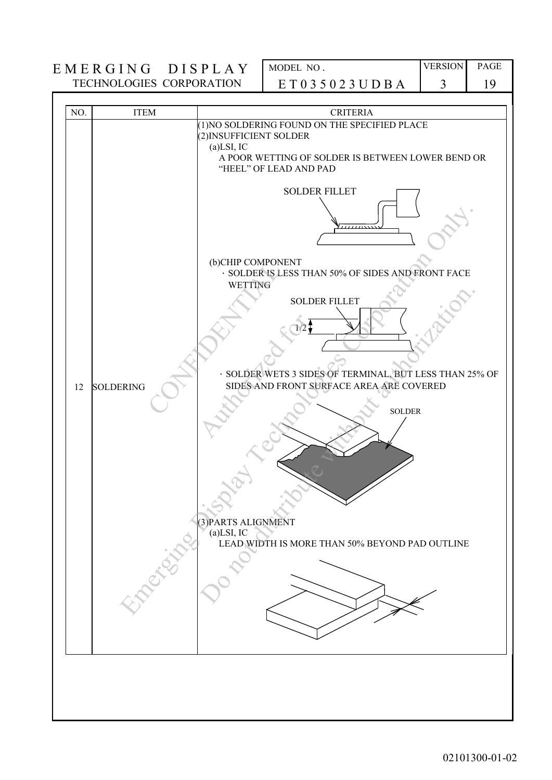| (1) NO SOLDERING FOUND ON THE SPECIFIED PLACE<br>(2) INSUFFICIENT SOLDER<br>$(a)$ LSI, IC<br>A POOR WETTING OF SOLDER IS BETWEEN LOWER BEND OR<br>"HEEL" OF LEAD AND PAD<br><b>SOLDER FILLET</b><br>(b)CHIP COMPONENT<br>· SOLDER IS LESS THAN 50% OF SIDES AND FRONT FACE<br><b>WETTING</b><br><b>SOLDER FILLET</b><br>SIDES AND FRONT SURFACE AREA ARE COVERED<br><b>SOLDERING</b><br>12<br><b>SOLDER</b><br>(3) PARTS ALIGNMENT<br>$(a)$ LSI, IC<br>LEAD WIDTH IS MORE THAN 50% BEYOND PAD OUTLINE | NO. | <b>ITEM</b> | <b>CRITERIA</b>                                         |
|-------------------------------------------------------------------------------------------------------------------------------------------------------------------------------------------------------------------------------------------------------------------------------------------------------------------------------------------------------------------------------------------------------------------------------------------------------------------------------------------------------|-----|-------------|---------------------------------------------------------|
|                                                                                                                                                                                                                                                                                                                                                                                                                                                                                                       |     |             | · SOLDER WETS 3 SIDES OF TERMINAL, BUT LESS THAN 25% OF |
|                                                                                                                                                                                                                                                                                                                                                                                                                                                                                                       |     | Proce       |                                                         |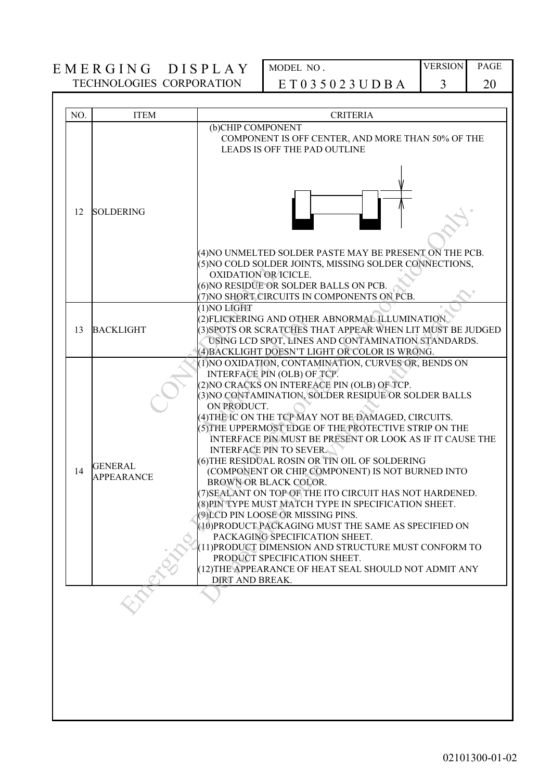| NO. | <b>ITEM</b>                         | <b>CRITERIA</b>                                                                                                                                                                                                                                                                                                                                                                                                                                                                                                                                                                                                                                                                                                                                                                                                                                                                                                                                                               |
|-----|-------------------------------------|-------------------------------------------------------------------------------------------------------------------------------------------------------------------------------------------------------------------------------------------------------------------------------------------------------------------------------------------------------------------------------------------------------------------------------------------------------------------------------------------------------------------------------------------------------------------------------------------------------------------------------------------------------------------------------------------------------------------------------------------------------------------------------------------------------------------------------------------------------------------------------------------------------------------------------------------------------------------------------|
|     |                                     | (b)CHIP COMPONENT<br>COMPONENT IS OFF CENTER, AND MORE THAN 50% OF THE<br><b>LEADS IS OFF THE PAD OUTLINE</b>                                                                                                                                                                                                                                                                                                                                                                                                                                                                                                                                                                                                                                                                                                                                                                                                                                                                 |
| 12  | <b>SOLDERING</b>                    | (4) NO UNMELTED SOLDER PASTE MAY BE PRESENT ON THE PCB.                                                                                                                                                                                                                                                                                                                                                                                                                                                                                                                                                                                                                                                                                                                                                                                                                                                                                                                       |
|     |                                     | (5) NO COLD SOLDER JOINTS, MISSING SOLDER CONNECTIONS,<br><b>OXIDATION OR ICICLE.</b><br>(6) NO RESIDUE OR SOLDER BALLS ON PCB.<br>(7) NO SHORT CIRCUITS IN COMPONENTS ON PCB.                                                                                                                                                                                                                                                                                                                                                                                                                                                                                                                                                                                                                                                                                                                                                                                                |
| 13  | <b>BACKLIGHT</b>                    | (1) NO LIGHT<br>(2) FLICKERING AND OTHER ABNORMAL ILLUMINATION<br>(3) SPOTS OR SCRATCHES THAT APPEAR WHEN LIT MUST BE JUDGED<br>USING LCD SPOT, LINES AND CONTAMINATION STANDARDS.<br>(4) BACKLIGHT DOESN'T LIGHT OR COLOR IS WRONG.                                                                                                                                                                                                                                                                                                                                                                                                                                                                                                                                                                                                                                                                                                                                          |
| 14  | <b>GENERAL</b><br><b>APPEARANCE</b> | (1) NO OXIDATION, CONTAMINATION, CURVES OR, BENDS ON<br>INTERFACE PIN (OLB) OF TCP.<br>(2)NO CRACKS ON INTERFÁCE PIN (OLB) OF TCP.<br>(3) NO CONTAMINATION, SOLDER RESIDUE OR SOLDER BALLS<br>ON PRODUCT.<br>(4) THE IC ON THE TCP MAY NOT BE DAMAGED, CIRCUITS.<br>(5) THE UPPERMOST EDGE OF THE PROTECTIVE STRIP ON THE<br>INTERFACE PIN MUST BE PRESENT OR LOOK AS IF IT CAUSE THE<br><b>INTERFACE PIN TO SEVER.</b><br>(6) THE RESIDUAL ROSIN OR TIN OIL OF SOLDERING<br>(COMPONENT OR CHIP COMPONENT) IS NOT BURNED INTO<br>BROWN OR BLACK COLOR.<br>(7) SEALANT ON TOP OF THE ITO CIRCUIT HAS NOT HARDENED.<br>(8) PIN TYPE MUST MATCH TYPE IN SPECIFICATION SHEET.<br>(9) LCD PIN LOOSE OR MISSING PINS.<br>(10) PRODUCT PACKAGING MUST THE SAME AS SPECIFIED ON<br>PACKAGING SPECIFICATION SHEET.<br>(11) PRODUCT DIMENSION AND STRUCTURE MUST CONFORM TO<br>PRODUCT SPECIFICATION SHEET.<br>(12) THE APPEARANCE OF HEAT SEAL SHOULD NOT ADMIT ANY<br>DIRT AND BREAK. |
|     |                                     |                                                                                                                                                                                                                                                                                                                                                                                                                                                                                                                                                                                                                                                                                                                                                                                                                                                                                                                                                                               |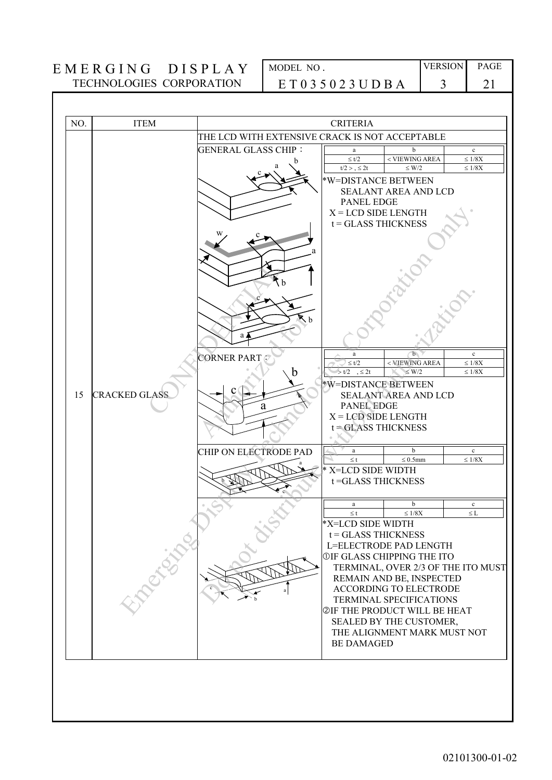| NO. | <b>ITEM</b>          |                                                | <b>CRITERIA</b>                           |                                     |                      |
|-----|----------------------|------------------------------------------------|-------------------------------------------|-------------------------------------|----------------------|
|     |                      | THE LCD WITH EXTENSIVE CRACK IS NOT ACCEPTABLE |                                           |                                     |                      |
|     |                      | <b>GENERAL GLASS CHIP:</b>                     | a                                         | b                                   | $\mathbf c$          |
|     |                      | я                                              | $\leq t/2$                                | < VIEWING AREA                      | $\leq 1/8\mathrm{X}$ |
|     |                      |                                                | t/2 > 0.52t                               | $\leq$ W/2                          | $\leq 1/8X$          |
|     |                      |                                                | *W=DISTANCE BETWEEN                       |                                     |                      |
|     |                      |                                                |                                           | SEALANT AREA AND LCD                |                      |
|     |                      |                                                | <b>PANEL EDGE</b>                         |                                     |                      |
|     |                      |                                                | $X = LCD$ SIDE LENGTH                     |                                     |                      |
|     |                      |                                                | $t = GLASSTHICKNESS$                      |                                     |                      |
|     |                      |                                                |                                           |                                     |                      |
|     |                      |                                                |                                           |                                     |                      |
|     |                      |                                                |                                           |                                     |                      |
|     |                      |                                                |                                           |                                     |                      |
|     |                      |                                                |                                           |                                     |                      |
|     |                      |                                                |                                           |                                     |                      |
|     |                      |                                                |                                           |                                     |                      |
|     |                      | $\mathbf{k}_b$                                 |                                           |                                     |                      |
|     |                      |                                                |                                           |                                     |                      |
|     |                      | a i                                            |                                           |                                     |                      |
|     |                      |                                                | a                                         | $\mathbf{b}$                        | $\mathbf c$          |
|     |                      | <b>CORNER PART</b>                             | $\leq t/2$                                | < VIEWING AREA                      | $\leq 1/8X$          |
|     |                      | b                                              | $> t/2$ , $\leq 2t$                       | $\leq$ W/2                          | $\leq 1/8\mathrm{X}$ |
|     |                      |                                                | *W=DISTANCE BETWEEN                       |                                     |                      |
| 15  | <b>CRACKED GLASS</b> |                                                |                                           | <b>SEALANT AREA AND LCD</b>         |                      |
|     |                      | a                                              | <b>PANEL EDGE</b>                         |                                     |                      |
|     |                      |                                                | $X = LCD$ SIDE LENGTH                     |                                     |                      |
|     |                      |                                                | $t = GLASSTHICKNESS$                      |                                     |                      |
|     |                      |                                                |                                           |                                     |                      |
|     |                      | CHIP ON ELECTRODE PAD                          | a                                         | $\mathbf b$                         | $\mathbf c$          |
|     |                      |                                                | $\leq t$                                  | $\leq 0.5$ mm                       | $\leq 1/8\mathrm{X}$ |
|     |                      |                                                | * X=LCD SIDE WIDTH                        |                                     |                      |
|     |                      |                                                | t=GLASS THICKNESS                         |                                     |                      |
|     |                      |                                                |                                           |                                     |                      |
|     |                      |                                                | $\mathbf{a}$                              | $\mathbf b$                         | $\mathbf c$          |
|     |                      |                                                | $\leq$ t                                  | $\leq 1/8\mathrm{X}$                | $\leq$ L             |
|     |                      |                                                | *X=LCD SIDE WIDTH<br>$t = GLASSTHICKNESS$ |                                     |                      |
|     | <b>Percit</b>        |                                                |                                           | L=ELECTRODE PAD LENGTH              |                      |
|     |                      |                                                |                                           | <b>OIF GLASS CHIPPING THE ITO</b>   |                      |
|     |                      |                                                |                                           | TERMINAL, OVER 2/3 OF THE ITO MUST  |                      |
|     |                      |                                                |                                           | REMAIN AND BE, INSPECTED            |                      |
|     |                      |                                                |                                           | <b>ACCORDING TO ELECTRODE</b>       |                      |
|     |                      | a                                              |                                           | TERMINAL SPECIFICATIONS             |                      |
|     |                      |                                                |                                           | <b>@IF THE PRODUCT WILL BE HEAT</b> |                      |
|     |                      |                                                |                                           | SEALED BY THE CUSTOMER,             |                      |
|     |                      |                                                |                                           | THE ALIGNMENT MARK MUST NOT         |                      |
|     |                      |                                                | <b>BE DAMAGED</b>                         |                                     |                      |
|     |                      |                                                |                                           |                                     |                      |
|     |                      |                                                |                                           |                                     |                      |
|     |                      |                                                |                                           |                                     |                      |
|     |                      |                                                |                                           |                                     |                      |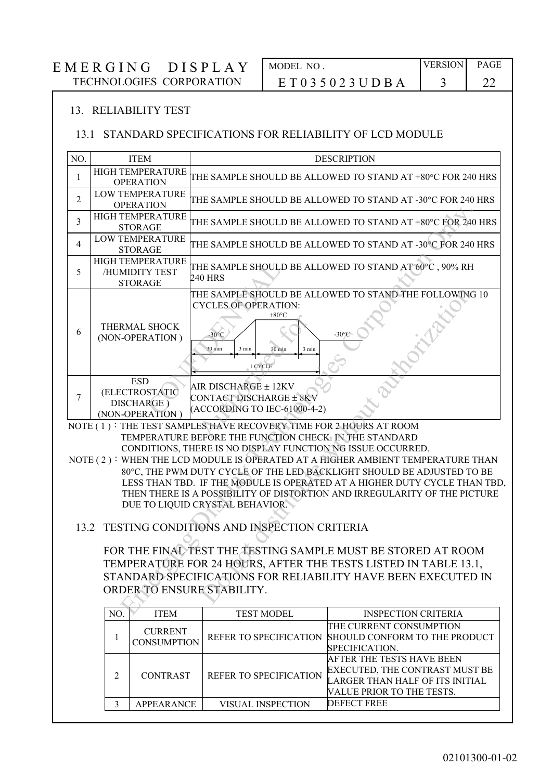# $EMERGING DISPLAY$ TECHNOLOGIES CORPORATION

| MODEL NO                | <b>VERSION</b> | PAGE |
|-------------------------|----------------|------|
| E T 0 3 5 0 2 3 U D B A |                |      |

#### 13. RELIABILITY TEST

#### 13.1 STANDARD SPECIFICATIONS FOR RELIABILITY OF LCD MODULE

| NO.             |                                                                                                                                                                                                                                | <b>ITEM</b>                                                   |                                                                                                                                                                                            | <b>DESCRIPTION</b>                                                                                                                                                                                                                                                                                                 |  |  |
|-----------------|--------------------------------------------------------------------------------------------------------------------------------------------------------------------------------------------------------------------------------|---------------------------------------------------------------|--------------------------------------------------------------------------------------------------------------------------------------------------------------------------------------------|--------------------------------------------------------------------------------------------------------------------------------------------------------------------------------------------------------------------------------------------------------------------------------------------------------------------|--|--|
| 1               |                                                                                                                                                                                                                                | HIGH TEMPERATURE<br><b>OPERATION</b>                          |                                                                                                                                                                                            | THE SAMPLE SHOULD BE ALLOWED TO STAND AT +80°C FOR 240 HRS                                                                                                                                                                                                                                                         |  |  |
| $\overline{2}$  |                                                                                                                                                                                                                                | LOW TEMPERATURE<br><b>OPERATION</b>                           |                                                                                                                                                                                            | THE SAMPLE SHOULD BE ALLOWED TO STAND AT -30°C FOR 240 HRS                                                                                                                                                                                                                                                         |  |  |
| 3               |                                                                                                                                                                                                                                | <b>HIGH TEMPERATURE</b><br><b>STORAGE</b>                     |                                                                                                                                                                                            | THE SAMPLE SHOULD BE ALLOWED TO STAND AT +80°C FOR 240 HRS                                                                                                                                                                                                                                                         |  |  |
| $\overline{4}$  |                                                                                                                                                                                                                                | LOW TEMPERATURE<br><b>STORAGE</b>                             |                                                                                                                                                                                            | THE SAMPLE SHOULD BE ALLOWED TO STAND AT -30°C FOR 240 HRS                                                                                                                                                                                                                                                         |  |  |
| 5               |                                                                                                                                                                                                                                | HIGH TEMPERATURE<br>/HUMIDITY TEST<br><b>STORAGE</b>          | 240 HRS                                                                                                                                                                                    | THE SAMPLE SHOULD BE ALLOWED TO STAND AT 60°C, 90% RH                                                                                                                                                                                                                                                              |  |  |
| 6               |                                                                                                                                                                                                                                | THERMAL SHOCK<br>(NON-OPERATION)                              | <b>CYCLES OF OPERATION:</b><br>$+80^{\circ}$ C<br>$-30^{\circ}$ C<br>30 min<br>30 min<br>3 min<br>3 min<br>1 CYCLE                                                                         | THE SAMPLE SHOULD BE ALLOWED TO STAND THE FOLLOWING 10<br>-30°)                                                                                                                                                                                                                                                    |  |  |
| $7\phantom{.0}$ |                                                                                                                                                                                                                                | <b>ESD</b><br>(ELECTROSTATIC<br>DISCHARGE)<br>(NON-OPERATION) | AIR DISCHARGE ± 12KV<br><b>CONTACT DISCHARGE ± 8KV</b><br>(ACCORDING TO IEC-61000-4-2)                                                                                                     |                                                                                                                                                                                                                                                                                                                    |  |  |
|                 |                                                                                                                                                                                                                                |                                                               | NOTE (1): THE TEST SAMPLES HAVE RECOVERY TIME FOR 2 HOURS AT ROOM<br>TEMPERATURE BEFORE THE FUNCTION CHECK. IN THE STANDARD<br>CONDITIONS, THERE IS NO DISPLAY FUNCTION NG ISSUE OCCURRED. | NOTE (2): WHEN THE LCD MODULE IS OPERATED AT A HIGHER AMBIENT TEMPERATURE THAN<br>80°C, THE PWM DUTY CYCLE OF THE LED BACKLIGHT SHOULD BE ADJUSTED TO BE<br>LESS THAN TBD. IF THE MODULE IS OPERATED AT A HIGHER DUTY CYCLE THAN TBD,<br>THEN THERE IS A POSSIBILITY OF DISTORTION AND IRREGULARITY OF THE PICTURE |  |  |
|                 | DUE TO LIQUID CRYSTAL BEHAVIOR.<br>TESTING CONDITIONS AND INSPECTION CRITERIA<br>13.2                                                                                                                                          |                                                               |                                                                                                                                                                                            |                                                                                                                                                                                                                                                                                                                    |  |  |
|                 | FOR THE FINAL TEST THE TESTING SAMPLE MUST BE STORED AT ROOM<br>TEMPERATURE FOR 24 HOURS, AFTER THE TESTS LISTED IN TABLE 13.1,<br>STANDARD SPECIFICATIONS FOR RELIABILITY HAVE BEEN EXECUTED IN<br>ORDER TO ENSURE STABILITY. |                                                               |                                                                                                                                                                                            |                                                                                                                                                                                                                                                                                                                    |  |  |
|                 | NO.                                                                                                                                                                                                                            | <b>ITEM</b>                                                   | <b>TEST MODEL</b>                                                                                                                                                                          | <b>INSPECTION CRITERIA</b>                                                                                                                                                                                                                                                                                         |  |  |
|                 | 1                                                                                                                                                                                                                              | <b>CURRENT</b><br><b>CONSUMPTION</b>                          | REFER TO SPECIFICATION                                                                                                                                                                     | THE CURRENT CONSUMPTION<br>SHOULD CONFORM TO THE PRODUCT<br>SPECIFICATION.                                                                                                                                                                                                                                         |  |  |
|                 | 2                                                                                                                                                                                                                              | <b>CONTRAST</b>                                               | REFER TO SPECIFICATION                                                                                                                                                                     | <b>AFTER THE TESTS HAVE BEEN</b><br>EXECUTED, THE CONTRAST MUST BE<br>LARGER THAN HALF OF ITS INITIAL<br>VALUE PRIOR TO THE TESTS.                                                                                                                                                                                 |  |  |
|                 | $\mathfrak{Z}$                                                                                                                                                                                                                 | <b>APPEARANCE</b>                                             | VISUAL INSPECTION                                                                                                                                                                          | <b>DEFECT FREE</b>                                                                                                                                                                                                                                                                                                 |  |  |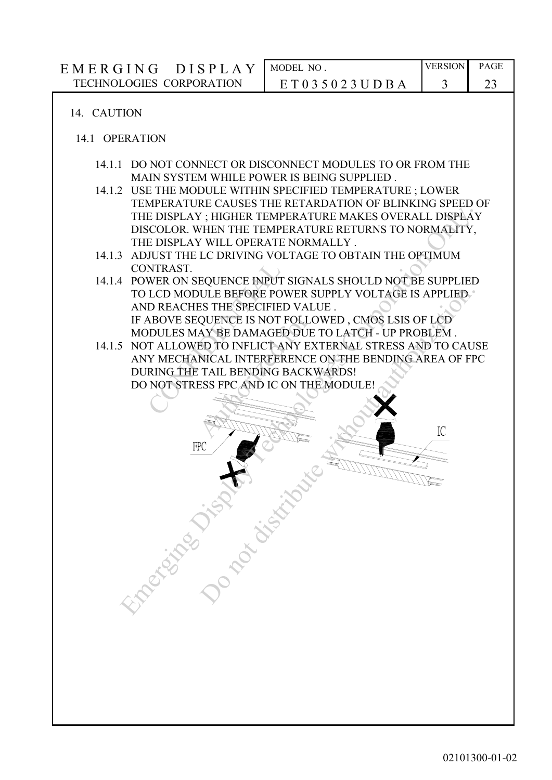### 14. CAUTION

#### 14.1 OPERATION

- 14.1.1 DO NOT CONNECT OR DISCONNECT MODULES TO OR FROM THE MAIN SYSTEM WHILE POWER IS BEING SUPPLIED .
- 14.1.2 USE THE MODULE WITHIN SPECIFIED TEMPERATURE ; LOWER TEMPERATURE CAUSES THE RETARDATION OF BLINKING SPEED OF THE DISPLAY ; HIGHER TEMPERATURE MAKES OVERALL DISPLAY DISCOLOR. WHEN THE TEMPERATURE RETURNS TO NORMALITY, THE DISPLAY WILL OPERATE NORMALLY .
- 14.1.3 ADJUST THE LC DRIVING VOLTAGE TO OBTAIN THE OPTIMUM CONTRAST.
- 14.1.4 POWER ON SEQUENCE INPUT SIGNALS SHOULD NOT BE SUPPLIED TO LCD MODULE BEFORE POWER SUPPLY VOLTAGE IS APPLIED AND REACHES THE SPECIFIED VALUE . IF ABOVE SEQUENCE IS NOT FOLLOWED , CMOS LSIS OF LCD MODULES MAY BE DAMAGED DUE TO LATCH - UP PROBLEM . NTRAST.<br>
WER ON SEQUENCE INPUT<br>
LCD MODULE BEFORE PC<br>
D REACHES THE SPECIFIE<br>
NBOVE SEQUENCE IS NOT<br>
DDULES MAY BE DAMAGE<br>
T ALLOWED TO INFLICT<br>
Y MECHANICAL INTERFE<br>
RING THE TAIL BENDING<br>
NOT STRESS FPC AND IC<br>
NOT STRES THE DISPLAY THIGHER TEMPERATURE MAKES OVERALL DISPLAY THE DISPLAY THOHER TEMPERATURE MAKES OVERALL DISPLAY THE DISPLAY THE DETAINED THE DETAINED THE DETAIN THE OPTIMUM CONTRAST. A DULIST THE LC DRIVING VOLTAGE TO OBTAIN TH ULE BEFORE POWER SUPPLY VOLTAGE IS APPLIED<br>SS THE SPECIFIED VALUE .<br>SO NOT FOLLOWED , CMOS LSIS OF LOD<br>QUENCE IS NOT FOLLOWED , CMOS LSIS OF LOD<br>DISTRIBUTED TO INFLICT ANY EXTERNAL STRESS AND TO CAU<br>NICAL INTERFERENCE ON T
- 14.1.5 NOT ALLOWED TO INFLICT ANY EXTERNAL STRESS AND TO CAUSE ANY MECHANICAL INTERFERENCE ON THE BENDING AREA OF FPC DURING THE TAIL BENDING BACKWARDS! DO NOT STRESS FPC AND IC ON THE MODULE! QUENCE IS NOT FOLLO<br>AY BE DAMAGED DUE<br>ED TO INFLICT ANY ENICAL INTERFERENCE<br>ATAIL BENDING BACK<br>ESS FPC AND IC ON TH